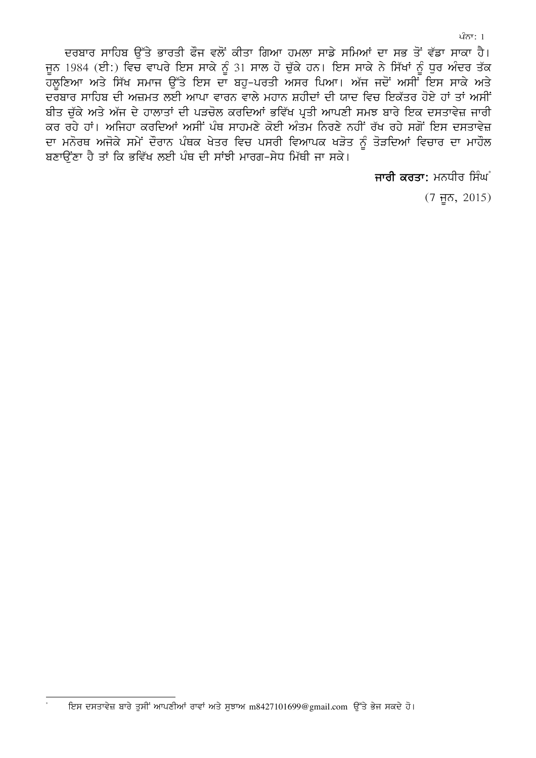ਦਰਬਾਰ ਸਾਹਿਬ ਉੱਤੇ ਭਾਰਤੀ ਫੌਜ ਵਲੋਂ ਕੀਤਾ ਗਿਆ ਹਮਲਾ ਸਾਡੇ ਸਮਿਆਂ ਦਾ ਸਭ ਤੋਂ ਵੱਡਾ ਸਾਕਾ ਹੈ। ਜੂਨ 1984 (ਈ:) ਵਿਚ ਵਾਪਰੇ ਇਸ ਸਾਕੇ ਨੂੰ 31 ਸਾਲ ਹੋ ਚੁੱਕੇ ਹਨ। ਇਸ ਸਾਕੇ ਨੇ ਸਿੱਖਾਂ ਨੂੰ ਧੁਰ ਅੰਦਰ ਤੱਕ .<br>ਦਰਬਾਰ ਸਾਹਿਬ ਦੀ ਅਜ਼ਮਤ ਲਈ ਆਪਾ ਵਾਰਨ ਵਾਲੇ ਮਹਾਨ ਸ਼ਹੀਦਾਂ ਦੀ ਯਾਦ ਵਿਚ ਇਕੱਤਰ ਹੋਏ ਹਾਂ ਤਾਂ ਅਸੀਂ ਬੀਤ ਚੱਕੇ ਅਤੇ ਅੱਜ ਦੇ ਹਾਲਾਤਾਂ ਦੀ ਪੜਚੋਲ ਕਰਦਿਆਂ ਭਵਿੱਖ ਪ੍ਰਤੀ ਆਪਣੀ ਸਮਝ ਬਾਰੇ ਇਕ ਦਸਤਾਵੇਜ਼ ਜਾਰੀ ਕਰ ਰਹੇ ਹਾਂ। ਅਜਿਹਾ ਕਰਦਿਆਂ ਅਸੀਂ ਪੰਥ ਸਾਹਮਣੇ ਕੋਈ ਅੰਤਮ ਨਿਰਣੇ ਨਹੀਂ ਰੱਖ ਰਹੇ ਸਗੋਂ ਇਸ ਦਸਤਾਵੇਜ਼ ਦਾ ਮਨੋਰਥ ਅਜੋਕੇ ਸਮੇਂ ਦੌਰਾਨ ਪੰਥਕ ਖੇਤਰ ਵਿਚ ਪਸਰੀ ਵਿਆਪਕ ਖੜੋਤ ਨੂੰ ਤੋੜਦਿਆਂ ਵਿਚਾਰ ਦਾ ਮਾਹੌਲ ਬਣਾਉਂਣਾ ਹੈ ਤਾਂ ਕਿ ਭਵਿੱਖ ਲਈ ਪੰਥ ਦੀ ਸਾਂਝੀ ਮਾਰਗ-ਸੇਧ ਮਿੱਥੀ ਜਾ ਸਕੇ।

ਜਾਰੀ ਕਰਤਾ: ਮਨਧੀਰ ਸਿੰਘੰ

 $(7 \overline{f}5, 2015)$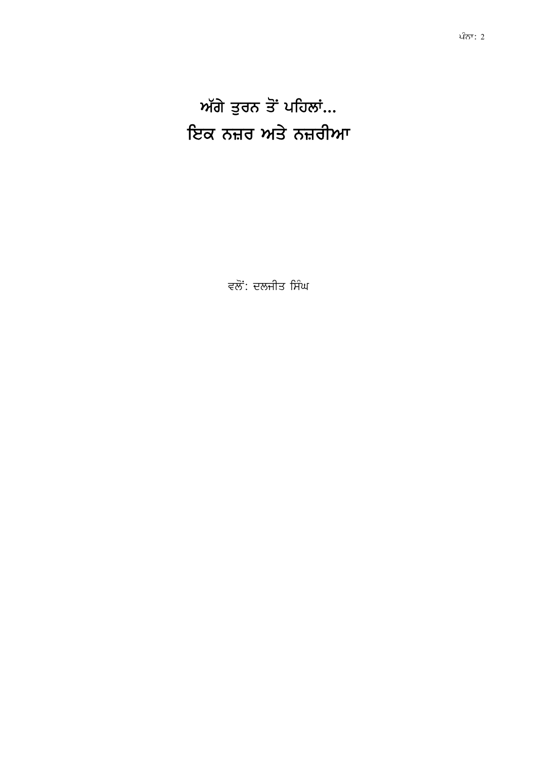ਅੱਗੇ ਤੁਰਨ ਤੋਂ ਪਹਿਲਾਂ... ਇਕ ਨਜ਼ਰ ਅਤੇ ਨਜ਼ਰੀਆ

ਵਲੋਂ: ਦਲਜੀਤ ਸਿੰਘ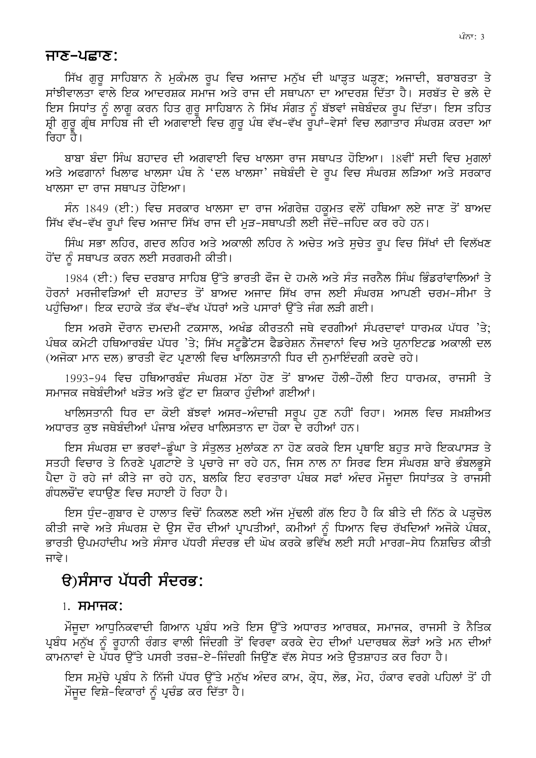#### ਜਾਣ–ਪਛਾਣ:

ਸਿੱਖ ਗੁਰੂ ਸਾਹਿਬਾਨ ਨੇ ਮੁਕੰਮਲ ਰੂਪ ਵਿਚ ਅਜਾਦ ਮਨੁੱਖ ਦੀ ਘਾੜ੍ਹਤ ਘੜ੍ਹਣ; ਅਜਾਦੀ, ਬਰਾਬਰਤਾ ਤੇ ਸਾਂਝੀਵਾਲਤਾ ਵਾਲੇ ਇਕ ਆਦਰਸ਼ਕ ਸਮਾਜ ਅਤੇ ਰਾਜ ਦੀ ਸਥਾਪਨਾ ਦਾ ਆਦਰਸ਼ ਦਿੱਤਾ ਹੈ। ਸਰਬੱਤ ਦੇ ਭਲੇ ਦੇ ਇਸ ਸਿਧਾਂਤ ਨੂੰ ਲਾਗੂ ਕਰਨ ਹਿਤ ਗੁਰੂ ਸਾਹਿਬਾਨ ਨੇ ਸਿੱਖ ਸੰਗਤ ਨੂੰ ਬੱਝਵਾਂ ਜਥੇਬੰਦਕ ਰੂਪ ਦਿੱਤਾ। ਇਸ ਤਹਿਤ ਸ਼੍ਰੀ ਗੁਰੂ ਗ੍ਰੰਥ ਸਾਹਿਬ ਜੀ ਦੀ ਅਗਵਾਈ ਵਿਚ ਗੁਰੂ ਪੰਥ ਵੱਖ-ਵੱਖ ਰੂਪਾਂ-ਵੇਸਾਂ ਵਿਚ ਲਗਾਤਾਰ ਸੰਘਰਸ਼ ਕਰਦਾ ਆ ਜਿਹਾ ਹੈ।

ਬਾਬਾ ਬੰਦਾ ਸਿੰਘ ਬਹਾਦਰ ਦੀ ਅਗਵਾਈ ਵਿਚ ਖਾਲਸਾ ਰਾਜ ਸਥਾਪਤ ਹੋਇਆ। 18ਵੀਂ ਸਦੀ ਵਿਚ ਮਗਲਾਂ ਅਤੇ ਅਫਗਾਨਾਂ ਖਿਲਾਫ ਖਾਲਸਾ ਪੰਥ ਨੇ 'ਦਲ ਖਾਲਸਾ' ਜਥੇਬੰਦੀ ਦੇ ਰਪ ਵਿਚ ਸੰਘਰਸ਼ ਲੜਿਆ ਅਤੇ ਸਰਕਾਰ ਖਾਲਸਾ ਦਾ ਰਾਜ ਸਥਾਪਤ ਹੋਇਆ।

ਸੰਨ 1849 (ਈ:) ਵਿਚ ਸਰਕਾਰ ਖਾਲਸਾ ਦਾ ਰਾਜ ਅੰਗਰੇਜ਼ ਹਕੂਮਤ ਵਲੋਂ ਹਥਿਆ ਲਏ ਜਾਣ ਤੋਂ ਬਾਅਦ ਸਿੱਖ ਵੱਖ-ਵੱਖ ਰਪਾਂ ਵਿਚ ਅਜਾਦ ਸਿੱਖ ਰਾਜ ਦੀ ਮੜ-ਸਥਾਪਤੀ ਲਈ ਜੱਦੋ-ਜਹਿਦ ਕਰ ਰਹੇ ਹਨ।

ਸਿੰਘ ਸਭਾ ਲਹਿਰ, ਗਦਰ ਲਹਿਰ ਅਤੇ ਅਕਾਲੀ ਲਹਿਰ ਨੇ ਅਚੇਤ ਅਤੇ ਸੁਚੇਤ ਰੂਪ ਵਿਚ ਸਿੱਖਾਂ ਦੀ ਵਿਲੱਖਣ ਹੋਂਦ ਨੰ ਸਥਾਪਤ ਕਰਨ ਲਈ ਸਰਗਰਮੀ ਕੀਤੀ।

1984 (ਈ:) ਵਿਚ ਦਰਬਾਰ ਸਾਹਿਬ ਉੱਤੇ ਭਾਰਤੀ ਫੌਜ ਦੇ ਹਮਲੇ ਅਤੇ ਸੰਤ ਜਰਨੈਲ ਸਿੰਘ ਭਿੰਡਰਾਂਵਾਲਿਆਂ ਤੇ ਹੋਰਨਾਂ ਮਰਜੀਵੜਿਆਂ ਦੀ ਸ਼ਹਾਦਤ ਤੋਂ ਬਾਅਦ ਅਜਾਦ ਸਿੱਖ ਰਾਜ ਲਈ ਸੰਘਰਸ਼ ਆਪਣੀ ਚਰਮ-ਸੀਮਾ ਤੇ ਪਹੰਚਿਆ। ਇਕ ਦਹਾਕੇ ਤੱਕ ਵੱਖ-ਵੱਖ ਪੱਧਰਾਂ ਅਤੇ ਪਸਾਰਾਂ ਉੱਤੇ ਜੰਗ ਲੜੀ ਗਈ।

ਇਸ ਅਰਸੇ ਦੌਰਾਨ ਦਮਦਮੀ ਟਕਸਾਲ, ਅਖੰਡ ਕੀਰਤਨੀ ਜਥੇ ਵਰਗੀਆਂ ਸੰਪਰਦਾਵਾਂ ਧਾਰਮਕ ਪੱਧਰ 'ਤੇ: ਪੰਥਕ ਕਮੇਟੀ ਹਥਿਆਰਬੰਦ ਪੱਧਰ 'ਤੇ; ਸਿੱਖ ਸਟੂਡੈਂਟਸ ਫੈਡਰੇਸ਼ਨ ਨੌਜਵਾਨਾਂ ਵਿਚ ਅਤੇ ਯੂਨਾਇਟਡ ਅਕਾਲੀ ਦਲ (ਅਜੋਕਾ ਮਾਨ ਦਲ) ਭਾਰਤੀ ਵੋਟ ਪ੍ਰਣਾਲੀ ਵਿਚ ਖਾਲਿਸਤਾਨੀ ਧਿਰ ਦੀ ਨਮਾਇੰਦਗੀ ਕਰਦੇ ਰਹੇ।

1993-94 ਵਿਚ ਹਥਿਆਰਬੰਦ ਸੰਘਰਸ਼ ਮੱਠਾ ਹੋਣ ਤੋਂ ਬਾਅਦ ਹੌਲੀ-ਹੌਲੀ ਇਹ ਧਾਰਮਕ, ਰਾਜਸੀ ਤੇ ਸਮਾਜਕ ਜਥੇਬੰਦੀਆਂ ਖੜੋਤ ਅਤੇ ਫੱਟ ਦਾ ਸ਼ਿਕਾਰ ਹੰਦੀਆਂ ਗਈਆਂ।

ਖਾਲਿਸਤਾਨੀ ਧਿਰ ਦਾ ਕੋਈ ਬੱਝਵਾਂ ਅਸਰ–ਅੰਦਾਜ਼ੀ ਸਰੂਪ ਹੁਣ ਨਹੀਂ ਰਿਹਾ। ਅਸਲ ਵਿਚ ਸਖ਼ਸ਼ੀਅਤ ਅਧਾਰਤ ਕਝ ਜਥੇਬੰਦੀਆਂ ਪੰਜਾਬ ਅੰਦਰ ਖਾਲਿਸਤਾਨ ਦਾ ਹੋਕਾ ਦੇ ਰਹੀਆਂ ਹਨ।

ਇਸ ਸੰਘਰਸ਼ ਦਾ ਭਰਵਾਂ-ਡੰਘਾ ਤੇ ਸੰਤਲਤ ਮਲਾਂਕਣ ਨਾ ਹੋਣ ਕਰਕੇ ਇਸ ਪਥਾਇ ਬਹਤ ਸਾਰੇ ਇਕਪਾਸੜ ਤੇ ਸਤਹੀ ਵਿਚਾਰ ਤੇ ਨਿਰਣੇ ਪੁਗਟਾਏ ਤੇ ਪੁਚਾਰੇ ਜਾ ਰਹੇ ਹਨ, ਜਿਸ ਨਾਲ ਨਾ ਸਿਰਫ ਇਸ ਸੰਘਰਸ਼ ਬਾਰੇ ਭੰਬਲਭਸੇ ਪੈਦਾ ਹੋ ਰਹੇ ਜਾਂ ਕੀਤੇ ਜਾ ਰਹੇ ਹਨ, ਬਲਕਿ ਇਹ ਵਰਤਾਰਾ ਪੰਥਕ ਸਫਾਂ ਅੰਦਰ ਮੌਜਦਾ ਸਿਧਾਂਤਕ ਤੇ ਰਾਜਸੀ ਗੰਧਲਚੌਂਦ ਵਧਾਉਣ ਵਿਚ ਸਹਾਈ ਹੋ ਰਿਹਾ ਹੈ।

ਇਸ ਧੰਦ-ਗਬਾਰ ਦੇ ਹਾਲਾਤ ਵਿਚੋਂ ਨਿਕਲਣ ਲਈ ਅੱਜ ਮੱਢਲੀ ਗੱਲ ਇਹ ਹੈ ਕਿ ਬੀਤੇ ਦੀ ਨਿੱਠ ਕੇ ਪੜਚੋਲ ਕੀਤੀ ਜਾਵੇ ਅਤੇ ਸੰਘਰਸ਼ ਦੇ ਉਸ ਦੌਰ ਦੀਆਂ ਪ੍ਰਾਪਤੀਆਂ, ਕਮੀਆਂ ਨੰ ਧਿਆਨ ਵਿਚ ਰੱਖਦਿਆਂ ਅਜੋਕੇ ਪੰਥਕ, ਭਾਰਤੀ ੳਪਮਹਾਂਦੀਪ ਅਤੇ ਸੰਸਾਰ ਪੱਧਰੀ ਸੰਦਰਭ ਦੀ ਘੋਖ ਕਰਕੇ ਭਵਿੱਖ ਲਈ ਸਹੀ ਮਾਰਗ-ਸੇਧ ਨਿਸ਼ਚਿਤ ਕੀਤੀ ਜਾਵੇ।

## $\theta$ )ਸੰਸਾਰ ਪੱਧਰੀ ਸੰਦਰਭ:

#### $1.$  ਸਮਾਜਕ:

ਮੌਜੂਦਾ ਆਧੁਨਿਕਵਾਦੀ ਗਿਆਨ ਪ੍ਰਬੰਧ ਅਤੇ ਇਸ ਉੱਤੇ ਅਧਾਰਤ ਆਰਥਕ, ਸਮਾਜਕ, ਰਾਜਸੀ ਤੇ ਨੈਤਿਕ ਪ੍ਰਬੰਧ ਮਨੁੱਖ ਨੂੰ ਰੁਹਾਨੀ ਰੰਗਤ ਵਾਲੀ ਜਿੰਦਗੀ ਤੋਂ ਵਿਰਵਾ ਕਰਕੇ ਦੇਹ ਦੀਆਂ ਪਦਾਰਥਕ ਲੋੜਾਂ ਅਤੇ ਮਨ ਦੀਆਂ ਕਾਮਨਾਵਾਂ ਦੇ ਪੱਧਰ ਉੱਤੇ ਪਸਰੀ ਤਰਜ਼-ਏ-ਜਿੰਦਗੀ ਜਿਉਂਣ ਵੱਲ ਸੇਧਤ ਅਤੇ ਉਤਸ਼ਾਹਤ ਕਰ ਰਿਹਾ ਹੈ।

ਇਸ ਸਮੁੱਚੇ ਪ੍ਰਬੰਧ ਨੇ ਨਿੱਜੀ ਪੱਧਰ ਉੱਤੇ ਮਨੁੱਖ ਅੰਦਰ ਕਾਮ, ਕ੍ਰੋਧ, ਲੋਭ, ਮੋਹ, ਹੰਕਾਰ ਵਰਗੇ ਪਹਿਲਾਂ ਤੋਂ ਹੀ ਮੌਜੂਦ ਵਿਸ਼ੇ-ਵਿਕਾਰਾਂ ਨੂੰ ਪ੍ਰਚੰਡ ਕਰ ਦਿੱਤਾ ਹੈ।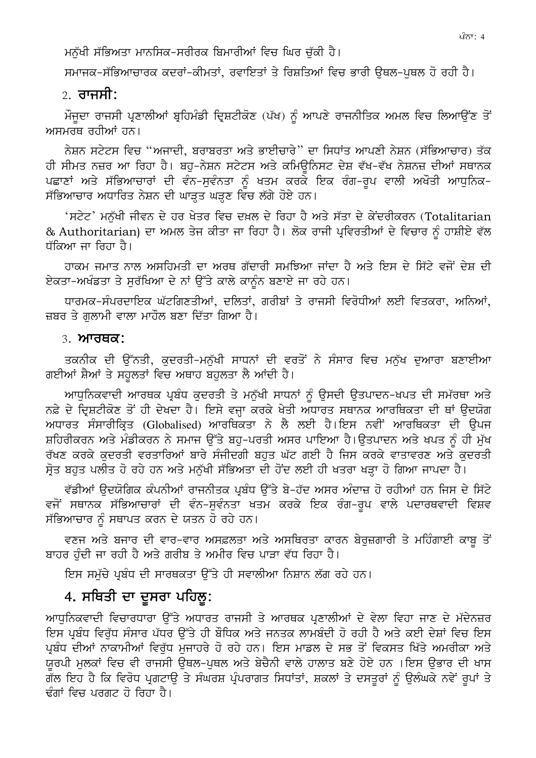ਮਨੁੱਖੀ ਸੱਭਿਅਤਾ ਮਾਨਸਿਕ-ਸਰੀਰਕ ਬਿਮਾਰੀਆਂ ਵਿਚ ਘਿਰ ਚੁੱਕੀ ਹੈ।

ਸਮਾਜਕ-ਸੱਭਿਆਚਾਰਕ ਕਦਰਾਂ-ਕੀਮਤਾਂ, ਰਵਾਇਤਾਂ ਤੇ ਰਿਸ਼ਤਿਆਂ ਵਿਚ ਭਾਰੀ ੳਥਲ-ਪਥਲ ਹੋ ਰਹੀ ਹੈ।

### $\sigma$  ਰਾਜਸੀ:

ਮੌਜੂਦਾ ਰਾਜਸੀ ਪ੍ਰਣਾਲੀਆਂ ਬ੍ਰਹਿਮੰਡੀ ਦ੍ਰਿਸ਼ਟੀਕੋਣ (ਪੱਖ) ਨੂੰ ਆਪਣੇ ਰਾਜਨੀਤਿਕ ਅਮਲ ਵਿਚ ਲਿਆਉਂਣ ਤੋਂ ਅਸਮਰਥ ਰਹੀਆਂ ਹਨ।

ਨੇਸ਼ਨ ਸਟੇਟਸ ਵਿਚ "ਅਜਾਦੀ, ਬਰਾਬਰਤਾ ਅਤੇ ਭਾਈਚਾਰੇ" ਦਾ ਸਿਧਾਂਤ ਆਪਣੀ ਨੇਸ਼ਨ (ਸੱਭਿਆਚਾਰ) ਤੱਕ ਹੀ ਸੀਮਤ ਨਜ਼ਰ ਆ ਰਿਹਾ ਹੈ। ਬਹ-ਨੇਸ਼ਨ ਸਟੇਟਸ ਅਤੇ ਕਮਿਊਨਿਸਟ ਦੇਸ਼ ਵੱਖ-ਵੱਖ ਨੇਸ਼ਨਜ਼ ਦੀਆਂ ਸਥਾਨਕ ਪਛਾਣਾਂ ਅਤੇ ਸੱਭਿਆਚਾਰਾਂ ਦੀ ਵੰਨ-ਸੁਵੰਨਤਾ ਨੂੰ ਖਤਮ ਕਰਕੇ ਇਕ ਰੰਗ-ਰੂਪ ਵਾਲੀ ਅਖੌਤੀ ਆਧੁਨਿਕ-ਸੱਭਿਆਚਾਰ ਅਧਾਰਿਤ ਨੇਸ਼ਨ ਦੀ ਘਾੜ੍ਹਤ ਘੜ੍ਹਣ ਵਿੱਚ ਲੱਗੇ ਹੋਏ ਹਨ।

'ਸਟੇਟ' ਮਨੱਖੀ ਜੀਵਨ ਦੇ ਹਰ ਖੇਤਰ ਵਿਚ ਦਖ਼ਲ ਦੇ ਰਿਹਾ ਹੈ ਅਤੇ ਸੱਤਾ ਦੇ ਕੇਂਦਰੀਕਰਨ (Totalitarian & Authoritarian) ਦਾ ਅਮਲ ਤੇਜ ਕੀਤਾ ਜਾ ਰਿਹਾ ਹੈ। ਲੋਕ ਰਾਜੀ ਪਵਿਰਤੀਆਂ ਦੇ ਵਿਚਾਰ ਨੂੰ ਹਾਸ਼ੀਏ ਵੱਲ ਧੱਕਿਆ ਜਾ ਰਿਹਾ ਹੈ।

ਹਾਕਮ ਜਮਾਤ ਨਾਲ ਅਸਹਿਮਤੀ ਦਾ ਅਰਥ ਗੱਦਾਰੀ ਸਮਝਿਆ ਜਾਂਦਾ ਹੈ ਅਤੇ ਇਸ ਦੇ ਸਿੱਟੇ ਵਜੋਂ ਦੇਸ਼ ਦੀ ਏਕਤਾ-ਅਖੰਡਤਾ ਤੇ ਸਰੱਖਿਆ ਦੇ ਨਾਂ ਉੱਤੇ ਕਾਲੇ ਕਾਨੰਨ ਬਣਾਏ ਜਾ ਰਹੇ ਹਨ।

ਧਾਰਮਕ-ਸੰਪਰਦਾਇਕ ਘੱਟਗਿਣਤੀਆਂ, ਦਲਿਤਾਂ, ਗਰੀਬਾਂ ਤੇ ਰਾਜਸੀ ਵਿਰੋਧੀਆਂ ਲਈ ਵਿਤਕਰਾ, ਅਨਿਆਂ, ਜ਼ਬਰ ਤੇ ਗਲਾਮੀ ਵਾਲਾ ਮਾਹੌਲ ਬਣਾ ਦਿੱਤਾ ਗਿਆ ਹੈ।

#### $3.$  ਆਰਥਕ:

ਤਕਨੀਕ ਦੀ ਉੱਨਤੀ, ਕੁਦਰਤੀ–ਮਨੁੱਖੀ ਸਾਧਨਾਂ ਦੀ ਵਰਤੋਂ ਨੇ ਸੰਸਾਰ ਵਿਚ ਮਨੁੱਖ ਦੁਆਰਾ ਬਣਾਈਆ ਗਈਆਂ ਸ਼ੈਆਂ ਤੇ ਸਹਲਤਾਂ ਵਿਚ ਅਥਾਹ ਬਹਲਤਾ ਲੈ ਆਂਦੀ ਹੈ।

ਆਧੁਨਿਕਵਾਦੀ ਆਰਥਕ ਪ੍ਰਬੰਧ ਕੁਦਰਤੀ ਤੇ ਮਨੁੱਖੀ ਸਾਧਨਾਂ ਨੂੰ ਉਸਦੀ ਉਤਪਾਦਨ-ਖਪਤ ਦੀ ਸਮੱਰਥਾ ਅਤੇ ਨਫ਼ੇ ਦੇ ਦਿਸ਼ਟੀਕੋਣ ਤੋਂ ਹੀ ਦੇਖਦਾ ਹੈ। ਇਸੇ ਵਜ੍ਹਾ ਕਰਕੇ ਖੇਤੀ ਅਧਾਰਤ ਸਥਾਨਕ ਆਰਥਿਕਤਾ ਦੀ ਥਾਂ ਉਦਯੋਗ ਅਧਾਰਤ ਸੰਸਾਰੀਕ੍ਰਿਤ (Globalised) ਆਰਥਿਕਤਾ ਨੇ ਲੈ ਲਈ ਹੈ।ਇਸ ਨਵੀਂ ਆਰਥਿਕਤਾ ਦੀ ਉਪਜ ਸ਼ਹਿਰੀਕਰਨ ਅਤੇ ਮੰਡੀਕਰਨ ਨੇ ਸਮਾਜ ੳੱਤੇ ਬਹ-ਪਰਤੀ ਅਸਰ ਪਾਇਆ ਹੈ।ੳਤਪਾਦਨ ਅਤੇ ਖਪਤ ਨੂੰ ਹੀ ਮੱਖ ਰੱਖਣ ਕਰਕੇ ਕਦਰਤੀ ਵਰਤਾਰਿਆਂ ਬਾਰੇ ਸੰਜੀਦਗੀ ਬਹਤ ਘੱਟ ਗਈ ਹੈ ਜਿਸ ਕਰਕੇ ਵਾਤਾਵਰਣ ਅਤੇ ਕਦਰਤੀ ਸੋਤ ਬਹਤ ਪਲੀਤ ਹੋ ਰਹੇ ਹਨ ਅਤੇ ਮਨੱਖੀ ਸੱਭਿਅਤਾ ਦੀ ਹੋਂਦ ਲਈ ਹੀ ਖਤਰਾ ਖੜਾ ਹੋ ਗਿਆ ਜਾਪਦਾ ਹੈ।

ਵੱਡੀਆਂ ਉਦਯੋਗਿਕ ਕੰਪਨੀਆਂ ਰਾਜਨੀਤਕ ਪ੍ਰਬੰਧ ਉੱਤੇ ਬੇ-ਹੱਦ ਅਸਰ ਅੰਦਾਜ਼ ਹੋ ਰਹੀਆਂ ਹਨ ਜਿਸ ਦੇ ਸਿੱਟੇ ਵਜੋਂ ਸਥਾਨਕ ਸੱਭਿਆਚਾਰਾਂ ਦੀ ਵੰਨ–ਸੁਵੰਨਤਾ ਖਤਮ ਕਰਕੇ ਇਕ ਰੰਗ–ਰੁਪ ਵਾਲੇ ਪਦਾਰਥਵਾਦੀ ਵਿਸ਼ਵ ਸੱਭਿਆਚਾਰ ਨੂੰ ਸਥਾਪਤ ਕਰਨ ਦੇ ਯਤਨ ਹੋ ਰਹੇ ਹਨ।

ਵਣਜ ਅਤੇ ਬਜਾਰ ਦੀ ਵਾਰ-ਵਾਰ ਅਸਫ਼ਲਤਾ ਅਤੇ ਅਸਥਿਰਤਾ ਕਾਰਨ ਬੇਰੁਜ਼ਗਾਰੀ ਤੇ ਮਹਿੰਗਾਈ ਕਾਬੂ ਤੋਂ ਬਾਹਰ ਹੰਦੀ ਜਾ ਰਹੀ ਹੈ ਅਤੇ ਗਰੀਬ ਤੇ ਅਮੀਰ ਵਿਚ ਪਾੜਾ ਵੱਧ ਰਿਹਾ ਹੈ।

ਇਸ ਸਮੁੱਚੇ ਪ੍ਰਬੰਧ ਦੀ ਸਾਰਥਕਤਾ ਉੱਤੇ ਹੀ ਸਵਾਲੀਆ ਨਿਸ਼ਾਨ ਲੱਗ ਰਹੇ ਹਨ।

## 4. ਸਥਿਤੀ ਦਾ ਦੂਸਰਾ ਪਹਿਲੂ:

ਆਧੁਨਿਕਵਾਦੀ ਵਿਚਾਰਧਾਰਾ ਉੱਤੇ ਅਧਾਰਤ ਰਾਜਸੀ ਤੇ ਆਰਥਕ ਪ੍ਰਣਾਲੀਆਂ ਦੇ ਵੇਲਾ ਵਿਹਾ ਜਾਣ ਦੇ ਮੱਦੇਨਜ਼ਰ ਇਸ ਪ੍ਰਬੰਧ ਵਿਰੱਧ ਸੰਸਾਰ ਪੱਧਰ ਉੱਤੇ ਹੀ ਬੌਧਿਕ ਅਤੇ ਜਨਤਕ ਲਾਮਬੰਦੀ ਹੋ ਰਹੀ ਹੈ ਅਤੇ ਕਈ ਦੇਸ਼ਾਂ ਵਿਚ ਇਸ ਪਬੰਧ ਦੀਆਂ ਨਾਕਾਮੀਆਂ ਵਿਰੱਧ ਮਜਾਹਰੇ ਹੋ ਰਹੇ ਹਨ। ਇਸ ਮਾਡਲ ਦੇ ਸਭ ਤੋਂ ਵਿਕਸਤ ਖਿੱਤੇ ਅਮਰੀਕਾ ਅਤੇ ਯਰਪੀ ਮਲਕਾਂ ਵਿਚ ਵੀ ਰਾਜਸੀ ਉਥਲ-ਪਥਲ ਅਤੇ ਬੇਚੈਨੀ ਵਾਲੇ ਹਾਲਾਤ ਬਣੇ ਹੋਏ ਹਨ ।ਇਸ ਉਭਾਰ ਦੀ ਖਾਸ ਗੱਲ ਇਹ ਹੈ ਕਿ ਵਿਰੋਧ ਪੁਗਟਾੳ ਤੇ ਸੰਘਰਸ਼ ਪ੍ਰੰਪਰਾਗਤ ਸਿਧਾਂਤਾਂ, ਸ਼ਕਲਾਂ ਤੇ ਦਸਤਰਾਂ ਨੰ ੳਲੰਘਕੇ ਨਵੇਂ ਰਪਾਂ ਤੇ ਢੰਗਾਂ ਵਿਚ ਪਰਗਟ ਹੋ ਰਿਹਾ ਹੈ।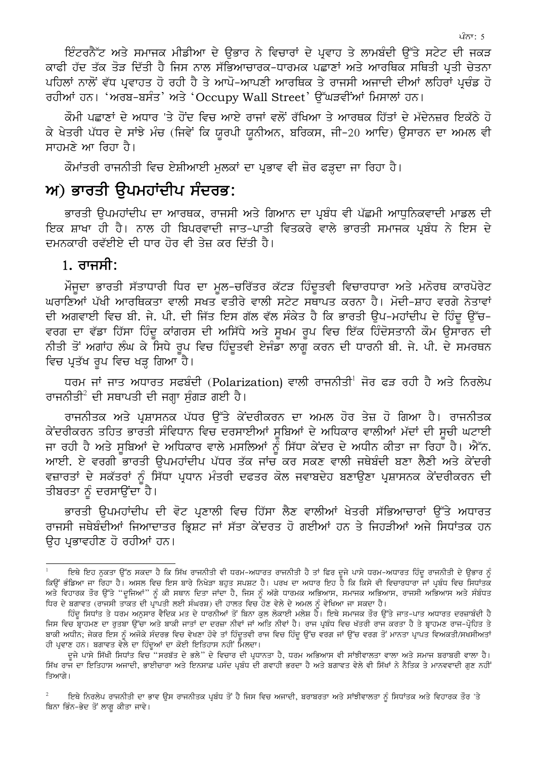*ਇੰਟਰਨੈੱਟ ਅਤੇ ਸ*ਮਾਜਕ ਮੀਡੀਆ ਦੇ ਉਭਾਰ ਨੇ ਵਿਚਾਰਾਂ ਦੇ ਪਵਾਹ ਤੇ ਲਾਮਬੰਦੀ ਉੱਤੇ ਸਟੇਟ ਦੀ ਜਕੜ ਕਾਫੀ ਹੱਦ ਤੱਕ ਤੋੜ ਦਿੱਤੀ ਹੈ ਜਿਸ ਨਾਲ ਸੱਭਿਆਚਾਰਕ-ਧਾਰਮਕ ਪਛਾਣਾਂ ਅਤੇ ਆਰਥਿਕ ਸਥਿਤੀ ਪਤੀ ਚੇਤਨਾ ਪਹਿਲਾਂ ਨਾਲੋਂ ਵੱਧ ਪ੍ਰਵਾਹਤ ਹੋ ਰਹੀ ਹੈ ਤੇ ਆਪੋ-ਆਪਣੀ ਆਰਥਿਕ ਤੇ ਰਾਜਸੀ ਅਜਾਦੀ ਦੀਆਂ ਲਹਿਰਾਂ ਪ੍ਰਚੰਡ ਹੋ ਰਹੀਆਂ ਹਨ। 'ਅਰਬ-ਬਸੰਤ' ਅਤੇ 'Occupy Wall Street' ਉੱਘੜਵੀਂਆਂ ਮਿਸਾਲਾਂ ਹਨ।

ਕੌਮੀ ਪਛਾਣਾਂ ਦੇ ਅਧਾਰ 'ਤੇ ਹੋਂਦ ਵਿਚ ਆਏ ਰਾਜਾਂ ਵਲੋਂ ਰੱਖਿਆ ਤੇ ਆਰਥਕ ਹਿੱਤਾਂ ਦੇ ਮੱਦੇਨਜ਼ਰ ਇਕੱਠੇ ਹੋ ਕੇ ਖੇਤਰੀ ਪੱਧਰ ਦੇ ਸਾਂਝੇ ਮੰਚ (ਜਿਵੇਂ ਕਿ ਯਰਪੀ ਯਨੀਅਨ, ਬਰਿਕਸ, ਜੀ-20 ਆਦਿ) ੳਸਾਰਨ ਦਾ ਅਮਲ ਵੀ ਸਾਹਮਣੇ ਆ ਰਿਹਾ ਹੈ।

ਕੌਮਾਂਤਰੀ ਰਾਜਨੀਤੀ ਵਿਚ ਏਸ਼ੀਆਈ ਮਲਕਾਂ ਦਾ ਪ੍ਰਭਾਵ ਵੀ ਜ਼ੋਰ ਫੜ੍ਹਦਾ ਜਾ ਰਿਹਾ ਹੈ।

## $w$ ) ਭਾਰਤੀ ਉਪਮਹਾਂਦੀਪ ਸੰਦਰਭ:

ਭਾਰਤੀ ੳਪਮਹਾਂਦੀਪ ਦਾ ਆਰਥਕ, ਰਾਜਸੀ ਅਤੇ ਗਿਆਨ ਦਾ ਪ੍ਰਬੰਧ ਵੀ ਪੱਛਮੀ ਆਧਨਿਕਵਾਦੀ ਮਾਡਲ ਦੀ ਇਕ ਸ਼ਾਖਾ ਹੀ ਹੈ। ਨਾਲ ਹੀ ਬਿਪਰਵਾਦੀ ਜਾਤ-ਪਾਤੀ ਵਿਤਕਰੇ ਵਾਲੇ ਭਾਰਤੀ ਸਮਾਜਕ ਪ੍ਰਬੰਧ ਨੇ ਇਸ ਦੇ ਦਮਨਕਾਰੀ ਰਵੱਈਏ ਦੀ ਧਾਰ ਹੋਰ ਵੀ ਤੇਜ਼ ਕਰ ਦਿੱਤੀ ਹੈ।

### $1.$  ਰਾਜਸੀ:

ਮੌਜੂਦਾ ਭਾਰਤੀ ਸੱਤਾਧਾਰੀ ਧਿਰ ਦਾ ਮੁਲ-ਚਰਿੱਤਰ ਕੱਟੜ ਹਿੰਦੂਤਵੀ ਵਿਚਾਰਧਾਰਾ ਅਤੇ ਮਨੋਰਥ ਕਾਰਪੋਰੇਟ ਘਰਾਣਿਆਂ ਪੱਖੀ ਆਰਥਿਕਤਾ ਵਾਲੀ ਸਖਤ ਵਤੀਰੇ ਵਾਲੀ ਸਟੇਟ ਸਥਾਪਤ ਕਰਨਾ ਹੈ। ਮੋਦੀ-ਸ਼ਾਹ ਵਰਗੇ ਨੇਤਾਵਾਂ ਦੀ ਅਗਵਾਈ ਵਿਚ ਬੀ. ਜੇ. ਪੀ. ਦੀ ਜਿੱਤ ਇਸ ਗੱਲ ਵੱਲ ਸੰਕੇਤ ਹੈ ਕਿ ਭਾਰਤੀ ੳਪ-ਮਹਾਂਦੀਪ ਦੇ ਹਿੰਦ ੳੱਚ-ਵਰਗ ਦਾ ਵੱਡਾ ਹਿੱਸਾ ਹਿੰਦੂ ਕਾਂਗਰਸ ਦੀ ਅਸਿੱਧੇ ਅਤੇ ਸੁਖਮ ਰੂਪ ਵਿਚ ਇੱਕ ਹਿੰਦੋਸਤਾਨੀ ਕੌਮ ਉਸਾਰਨ ਦੀ ਨੀਤੀ ਤੋਂ ਅਗਾਂਹ ਲੰਘ ਕੇ ਸਿਧੇ ਰੂਪ ਵਿਚ ਹਿੰਦੂਤਵੀ ਏਜੰਡਾ ਲਾਗੂ ਕਰਨ ਦੀ ਧਾਰਨੀ ਬੀ. ਜੇ. ਪੀ. ਦੇ ਸਮਰਥਨ ਵਿਚ ਪ੍ਰਤੱਖ ਰੂਪ ਵਿਚ ਖੜ੍ਹ ਗਿਆ ਹੈ।

ਧਰਮ ਜਾਂ ਜਾਤ ਅਧਾਰਤ ਸਫਬੰਦੀ (Polarization) ਵਾਲੀ ਰਾਜਨੀਤੀ<sup>1</sup> ਜੋਰ ਫੜ ਰਹੀ ਹੈ ਅਤੇ ਨਿਰਲੇਪ ਰਾਜਨੀਤੀ $^2$  ਦੀ ਸਥਾਪਤੀ ਦੀ ਜਗ੍ਹਾ ਸੰਗੜ ਗਈ ਹੈ।

ਰਾਜਨੀਤਕ ਅਤੇ ਪ੍ਰਸ਼ਾਸਨਕ ਪੱਧਰ ਉੱਤੇ ਕੇਂਦਰੀਕਰਨ ਦਾ ਅਮਲ ਹੋਰ ਤੇਜ਼ ਹੋ ਗਿਆ ਹੈ। ਰਾਜਨੀਤਕ ਕੇਂਦਰੀਕਰਨ ਤਹਿਤ ਭਾਰਤੀ ਸੰਵਿਧਾਨ ਵਿਚ ਦਰਸਾਈਆਂ ਸਬਿਆਂ ਦੇ ਅਧਿਕਾਰ ਵਾਲੀਆਂ ਮੱਦਾਂ ਦੀ ਸਚੀ ਘਟਾਈ ਜਾ ਰਹੀ ਹੈ ਅਤੇ ਸੂਬਿਆਂ ਦੇ ਅਧਿਕਾਰ ਵਾਲੇ ਮਸਲਿਆਂ ਨੂੰ ਸਿੱਧਾ ਕੇਂਦਰ ਦੇ ਅਧੀਨ ਕੀਤਾ ਜਾ ਰਿਹਾ ਹੈ। ਐੱਨ. <u>ਆਈ. ਏ ਵਰਗੀ ਭਾਰਤੀ ਉਪਮਹਾਂਦੀਪ ਪੱਧਰ ਤੱਕ ਜਾਂਚ ਕਰ ਸਕਣ ਵਾਲੀ ਜਥੇਬੰਦੀ ਬਣਾ ਲੈਣੀ ਅਤੇ ਕੇਂਦਰੀ</u> ਵਜ਼ਾਰਤਾਂ ਦੇ ਸਕੱਤਰਾਂ ਨੂੰ ਸਿੱਧਾ ਪ੍ਰਧਾਨ ਮੰਤਰੀ ਦਫਤਰ ਕੋਲ ਜਵਾਬਦੇਹ ਬਣਾਉਣਾ ਪ੍ਰਸ਼ਾਸਨਕ ਕੇਂਦਰੀਕਰਨ ਦੀ ਤੀਬਰਤਾ ਨੂੰ ਦਰਸਾਉਂਦਾ ਹੈ।

ਭਾਰਤੀ ੳਪਮਹਾਂਦੀਪ ਦੀ ਵੋਟ ਪ੍ਰਣਾਲੀ ਵਿਚ ਹਿੱਸਾ ਲੈਣ ਵਾਲੀਆਂ ਖੇਤਰੀ ਸੱਭਿਆਚਾਰਾਂ ੳੱਤੇ ਅਧਾਰਤ ਰਾਜਸੀ ਜਥੇਬੰਦੀਆਂ ਜਿਆਦਾਤਰ ਭਿਸ਼ਟ ਜਾਂ ਸੱਤਾ ਕੇਂਦਰਤ ਹੋ ਗਈਆਂ ਹਨ ਤੇ ਜਿਹੜੀਆਂ ਅਜੇ ਸਿਧਾਂਤਕ ਹਨ ੳਹ ਪ੍ਰਭਾਵਹੀਣ ਹੋ ਰਹੀਆਂ ਹਨ।

l ਇਥੇ ਇਹ ਨੁਕਤਾ ਉੱਠ ਸਕਦਾ ਹੈ ਕਿ ਸਿੱਖ ਰਾਜਨੀਤੀ ਵੀ ਧਰਮ-ਅਧਾਰਤ ਰਾਜਨੀਤੀ ਹੈ ਤਾਂ ਫਿਰ ਦੂਜੇ ਪਾਸੇ ਧਰਮ-ਅਧਾਰਤ ਹਿੰਦੂ ਰਾਜਨੀਤੀ ਦੇ ਉਭਾਰ ਨੂੰ ਕਿਉਂ ਭੰਡਿਆ ਜਾ ਰਿਹਾ ਹੈ। ਅਸਲ ਵਿਚ ਇਸ ਬਾਰੇ ਨਿਖੇੜਾ ਬਹੁਤ ਸਪਸ਼ਟ ਹੈ। ਪਰਖ ਦਾ ਅਧਾਰ ਇਹ ਹੈ ਕਿ ਕਿਸੇ ਵੀ ਵਿਚਾਰਧਾਰਾ ਜਾਂ ਪ੍ਰਬੰਧ ਵਿਚ ਸਿਧਾਂਤਕ ਅਤੇ ਵਿਹਾਰਕ ਤੌਰ ਉੱਤੇ "ਦੁਜਿਆਂ" ਨੂੰ ਕੀ ਸਥਾਨ ਦਿਤਾ ਜਾਂਦਾ ਹੈ, ਜਿਸ ਨੂੰ ਅੱਗੇ ਧਾਰਮਕ ਅਭਿਆਸ, ਸਮਾਜਕ ਅਭਿਆਸ, ਰਾਜਸੀ ਅਭਿਆਸ ਅਤੇ ਸੰਬੰਧਤ ਧਿਰ ਦੇ ਬਗਾਵਤ (ਰਾਜਸੀ ਤਾਕਤ ਦੀ ਪ੍ਰਾਪਤੀ ਲਈ ਸੰਘਰਸ਼) ਦੀ ਹਾਲਤ ਵਿਚ ਹੋਣ ਵੇਲੇ ਦੇ ਅਮਲ ਨੂੰ ਵੇਖਿਆ ਜਾ ਸਕਦਾ ਹੈ।

ਹਿੰਦੂ ਸਿਧਾਂਤ ਤੇ ਧਰਮ ਅਨੁਸਾਰ ਵੈਦਿਕ ਮਤ ਦੇ ਧਾਰਨੀਆਂ ਤੋਂ ਬਿਨਾ ਕੁਲ ਲੋਕਾਈ ਮਲੇਸ਼ ਹੈ। ਇਥੇ ਸਮਾਜਕ ਤੌਰ ਉੱਤੇ ਜਾਤ-ਪਾਤ ਅਧਾਰਤ ਦਰਜ਼ਾਬੰਦੀ ਹੈ ਜਿਸ ਵਿਚ ਬਾਹਮਣ ਦਾ ਰੁਤਬਾ ਉੱਚਾ ਅਤੇ ਬਾਕੀ ਜਾਤਾਂ ਦਾ ਦਰਜ਼ਾ ਨੀਵਾਂ ਜਾਂ ਅਤਿ ਨੀਵਾਂ ਹੈ। ਰਾਜ ਪ੍ਰਬੰਧ ਵਿਚ ਖੱਤਰੀ ਰਾਜ ਕਰਤਾ ਹੈ ਤੇ ਬ੍ਰਾਹਮਣ ਰਾਜ-ਪ੍ਰੋਹਿਤ ਤੇ ਬਾਕੀ ਅਧੀਨ; ਜੇਕਰ ਇਸ ਨੂੰ ਅਜੋਕੇ ਸੰਦਰਭ ਵਿਚ ਵੇਖਣਾ ਹੋਵੇ ਤਾਂ ਹਿੰਦੂਤਵੀ ਰਾਜ ਵਿਚ ਹਿੰਦੂ ਉੱਚ ਵਰਗ ਜਾਂ ਉੱਚ ਵਰਗ ਤੋਂ ਮਾਨਤਾ ਪ੍ਰਾਪਤ ਵਿਅਕਤੀ/ਸਖਸੀਅਤਾਂ ਹੀ ਪ੍ਰਵਾਣ ਹਨ। ਬਗਾਵਤ ਵੇਲੇ ਦਾ ਹਿੰਦੂਆਂ ਦਾ ਕੋਈ ਇਤਿਹਾਸ ਨਹੀਂ ਮਿਲਦਾ।

ਦੂਜੇ ਪਾਸੇ ਸਿੱਖੀ ਸਿਧਾਂਤ ਵਿਚ ੱ"ਸਰਬੱਤ ਦੇ ਭਲੇ" ਦੇ ਵਿਚਾਰ ਦੀ ਪ੍ਰਧਾਨਤਾ ਹੈ, ਧਰਮ ਅਭਿਆਸ ਵੀ ਸਾਂਝੀਵਾਲਤਾ ਵਾਲਾ ਅਤੇ ਸਮਾਜ ਬਰਾਬਰੀ ਵਾਲਾ ਹੈ। ਸਿੱਖ ਰਾਜ ਦਾ ਇਤਿਹਾਸ ਅਜਾਦੀ. ਭਾਈਚਾਰਾ ਅਤੇ ਇਨਸਾਫ਼ ਪਸੰਦ ਪਬੰਧ ਦੀ ਗਵਾਹੀ ਭਰਦਾ ਹੈ ਅਤੇ ਬਗਾਵਤ ਵੇਲੇ ਵੀ ਸਿੱਖਾਂ ਨੇ ਨੈਤਿਕ ਤੇ ਮਾਨਵਵਾਦੀ ਗਣ ਨਹੀਂ ਤਿਆਗੇ।

ਇਥੇ ਨਿਰਲੇਪ ਰਾਜਨੀਤੀ ਦਾ ਭਾਵ ਉਸ ਰਾਜਨੀਤਕ ਪ੍ਰਬੰਧ ਤੋਂ ਹੈ ਜਿਸ ਵਿਚ ਅਜਾਦੀ, ਬਰਾਬਰਤਾ ਅਤੇ ਸਾਂਝੀਵਾਲਤਾ ਨੰ ਸਿਧਾਂਤਕ ਅਤੇ ਵਿਹਾਰਕ ਤੌਰ 'ਤੇ ਬਿਨਾ ਭਿੰਨ-ਭੇਦ ਤੋਂ ਲਾਗੂ ਕੀਤਾ ਜਾਵੇ।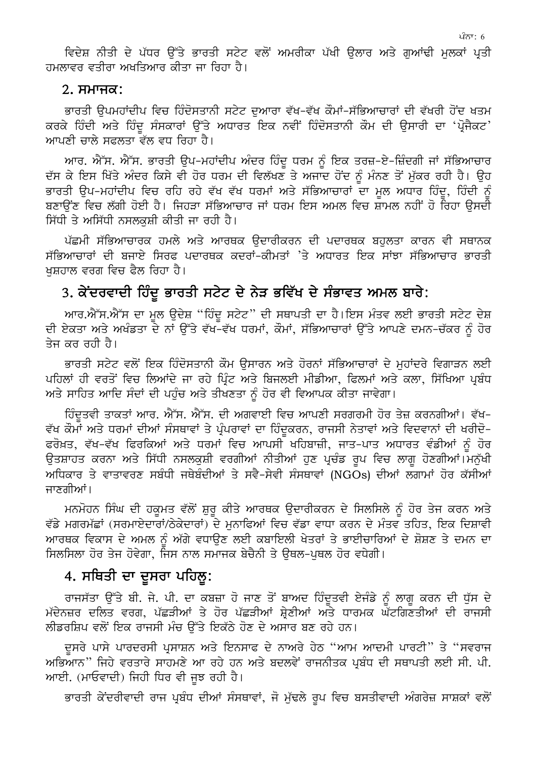ਵਿਦੇਸ਼ ਨੀਤੀ ਦੇ ਪੱਧਰ ਉੱਤੇ ਭਾਰਤੀ ਸਟੇਟ ਵਲੋਂ ਅਮਰੀਕਾ ਪੱਖੀ ਉਲਾਰ ਅਤੇ ਗੁਆਂਢੀ ਮੁਲਕਾਂ ਪ੍ਰਤੀ ਹਮਲਾਵਰ ਵਤੀਰਾ ਅਖਤਿਆਰ ਕੀਤਾ ਜਾ ਰਿਹਾ ਹੈ।

#### $2.$   $THTHZ$ :

ਭਾਰਤੀ ਉਪਮਹਾਂਦੀਪ ਵਿਚ ਹਿੰਦੋਸਤਾਨੀ ਸਟੇਟ ਦੁਆਰਾ ਵੱਖ-ਵੱਖ ਕੌਮਾਂ-ਸੱਭਿਆਚਾਰਾਂ ਦੀ ਵੱਖਰੀ ਹੋਂਦ ਖਤਮ ਕਰਕੇ ਹਿੰਦੀ ਅਤੇ ਹਿੰਦੂ ਸੰਸਕਾਰਾਂ ਉੱਤੇ ਅਧਾਰਤ ਇਕ ਨਵੀਂ ਹਿੰਦੋਸਤਾਨੀ ਕੌਮ ਦੀ ਉਸਾਰੀ ਦਾ 'ਪ੍ਰੋਜੈਕਟ' ਆਪਣੀ ਚਾਲੇ ਸਫਲਤਾ ਵੱਲ ਵਧ ਰਿਹਾ ਹੈ।

ਆਰ. ਐੱਸ. ਐੱਸ. ਭਾਰਤੀ ਉਪ–ਮਹਾਂਦੀਪ ਅੰਦਰ ਹਿੰਦੂ ਧਰਮ ਨੂੰ ਇਕ ਤਰਜ਼–ਏ–ਜ਼ਿੰਦਗੀ ਜਾਂ ਸੱਭਿਆਚਾਰ ਦੱਸ ਕੇ ਇਸ ਖਿੱਤੇ ਅੰਦਰ ਕਿਸੇ ਵੀ ਹੋਰ ਧਰਮ ਦੀ ਵਿਲੱਖਣ ਤੇ ਅਜਾਦ ਹੋਂਦ ਨੂੰ ਮੰਨਣ ਤੋਂ ਮੁੱਕਰ ਰਹੀ ਹੈ। ਉਹ ਭਾਰਤੀ ੳਪ–ਮਹਾਂਦੀਪ ਵਿਚ ਰਹਿ ਰਹੇ ਵੱਖ ਵੱਖ ਧਰਮਾਂ ਅਤੇ ਸੱਭਿਆਚਾਰਾਂ ਦਾ ਮਲ ਅਧਾਰ ਹਿੰਦ, ਹਿੰਦੀ ਨੰ ਬਣਾੳਂਣ ਵਿਚ ਲੱਗੀ ਹੋਈ ਹੈ। ਜਿਹੜਾ ਸੱਭਿਆਚਾਰ ਜਾਂ ਧਰਮ ਇਸ ਅਮਲ ਵਿਚ ਸ਼ਾਮਲ ਨਹੀਂ ਹੋ ਰਿਹਾ ੳਸਦੀ ਸਿੱਧੀ ਤੇ ਅਸਿੱਧੀ ਨਸਲਕਸ਼ੀ ਕੀਤੀ ਜਾ ਰਹੀ ਹੈ।

ਪੱਛਮੀ ਸੱਭਿਆਚਾਰਕ ਹਮਲੇ ਅਤੇ ਆਰਥਕ ੳਦਾਰੀਕਰਨ ਦੀ ਪਦਾਰਥਕ ਬਹਲਤਾ ਕਾਰਨ ਵੀ ਸਥਾਨਕ ਸੱਭਿਆਚਾਰਾਂ ਦੀ ਬਜਾਏ ਸਿਰਫ ਪਦਾਰਥਕ ਕਦਰਾਂ-ਕੀਮਤਾਂ 'ਤੇ ਅਧਾਰਤ ਇਕ ਸਾਂਝਾ ਸੱਭਿਆਚਾਰ ਭਾਰਤੀ ਖਸ਼ਹਾਲ ਵਰਗ ਵਿਚ ਫੈਲ ਰਿਹਾ ਹੈ।

### 3. ਕੇਂਦਰਵਾਦੀ ਹਿੰਦੂ ਭਾਰਤੀ ਸਟੇਟ ਦੇ ਨੇੜ ਭਵਿੱਖ ਦੇ ਸੰਭਾਵਤ ਅਮਲ ਬਾਰੇ:

ਆਰ.ਐੱਸ.ਐੱਸ ਦਾ ਮੂਲ ਉਦੇਸ਼ "ਹਿੰਦੂ ਸਟੇਟ" ਦੀ ਸਥਾਪਤੀ ਦਾ ਹੈ।ਇਸ ਮੰਤਵ ਲਈ ਭਾਰਤੀ ਸਟੇਟ ਦੇਸ਼ ਦੀ ਏਕਤਾ ਅਤੇ ਅਖੰਡਤਾ ਦੇ ਨਾਂ ਉੱਤੇ ਵੱਖ-ਵੱਖ ਧਰਮਾਂ, ਕੌਮਾਂ, ਸੱਭਿਆਚਾਰਾਂ ਉੱਤੇ ਆਪਣੇ ਦਮਨ-ਚੱਕਰ ਨੰ ਹੋਰ ਤੇਜ ਕਰ ਰਹੀ ਹੈ।

ਭਾਰਤੀ ਸਟੇਟ ਵਲੋਂ ਇਕ ਹਿੰਦੋਸਤਾਨੀ ਕੌਮ ਉਸਾਰਨ ਅਤੇ ਹੋਰਨਾਂ ਸੱਭਿਆਚਾਰਾਂ ਦੇ ਮਹਾਂਦਰੇ ਵਿਗਾੜਨ ਲਈ ਪਹਿਲਾਂ ਹੀ ਵਰਤੋਂ ਵਿਚ ਲਿਆਂਦੇ ਜਾ ਰਹੇ ਪਿੰਟ ਅਤੇ ਬਿਜਲਈ ਮੀਡੀਆ, ਫਿਲਮਾਂ ਅਤੇ ਕਲਾ, ਸਿੱਖਿਆ ਪਬੰਧ ਅਤੇ ਸਾਹਿਤ ਆਦਿ ਸੰਦਾਂ ਦੀ ਪਹੰਚ ਅਤੇ ਤੀਖਣਤਾ ਨੂੰ ਹੋਰ ਵੀ ਵਿਆਪਕ ਕੀਤਾ ਜਾਵੇਗਾ।

ਹਿੰਦਤਵੀ ਤਾਕਤਾਂ ਆਰ. ਐੱਸ. ਐੱਸ. ਦੀ ਅਗਵਾਈ ਵਿਚ ਆਪਣੀ ਸਰਗਰਮੀ ਹੋਰ ਤੇਜ਼ ਕਰਨਗੀਆਂ। ਵੱਖ-ਵੱਖ ਕੌਮਾਂ ਅਤੇ ਧਰਮਾਂ ਦੀਆਂ ਸੰਸਥਾਵਾਂ ਤੇ ਪ੍ਰੰਪਰਾਵਾਂ ਦਾ ਹਿੰਦਕਰਨ, ਰਾਜਸੀ ਨੇਤਾਵਾਂ ਅਤੇ ਵਿਦਵਾਨਾਂ ਦੀ ਖਰੀਦੋ– ਫਰੋਖ਼ਤ, ਵੱਖ-ਵੱਖ ਫਿਰਕਿਆਂ ਅਤੇ ਧਰਮਾਂ ਵਿਚ ਆਪਸੀ ਖਹਿਬਾਜ਼ੀ, ਜਾਤ-ਪਾਤ ਅਧਾਰਤ ਵੰਡੀਆਂ ਨੂੰ ਹੋਰ ਉਤਸ਼ਾਹਤ ਕਰਨਾ ਅਤੇ ਸਿੱਧੀ ਨਸਲਕੁਸ਼ੀ ਵਰਗੀਆਂ ਨੀਤੀਆਂ ਹੁਣ ਪ੍ਰਚੰਡ ਰੁਪ ਵਿਚ ਲਾਗੁ ਹੋਣਗੀਆਂ।ਮਨੁੱਖੀ ਅਧਿਕਾਰ ਤੇ ਵਾਤਾਵਰਣ ਸਬੰਧੀ ਜਥੇਬੰਦੀਆਂ ਤੇ ਸਵੈ-ਸੇਵੀ ਸੰਸਥਾਵਾਂ (NGOs) ਦੀਆਂ ਲਗਾਮਾਂ ਹੋਰ ਕੱਸੀਆਂ ਜਾਣਗੀਆਂ।

ਮਨਮੋਹਨ ਸਿੰਘ ਦੀ ਹਕੂਮਤ ਵੱਲੋਂ ਸ਼ੁਰੂ ਕੀਤੇ ਆਰਥਕ ਉਦਾਰੀਕਰਨ ਦੇ ਸਿਲਸਿਲੇ ਨੂੰ ਹੋਰ ਤੇਜ ਕਰਨ ਅਤੇ ਵੱਡੇ ਮਗਰਮੱਛਾਂ (ਸਰਮਾਏਦਾਰਾਂ/ਠੇਕੇਦਾਰਾਂ) ਦੇ ਮਨਾਫਿਆਂ ਵਿਚ ਵੱਡਾ ਵਾਧਾ ਕਰਨ ਦੇ ਮੰਤਵ ਤਹਿਤ, ਇਕ ਦਿਸ਼ਾਵੀ ਆਰਥਕ ਵਿਕਾਸ ਦੇ ਅਮਲ ਨੂੰ ਅੱਗੇ ਵਧਾਉਣ ਲਈ ਕਬਾਇਲੀ ਖੇਤਰਾਂ ਤੇ ਭਾਈਚਾਰਿਆਂ ਦੇ ਸ਼ੋਸ਼ਣ ਤੇ ਦਮਨ ਦਾ ਸਿਲਸਿਲਾ ਹੋਰ ਤੇਜ ਹੋਵੇਗਾ, ਜਿਸ ਨਾਲ ਸਮਾਜਕ ਬੇਚੈਨੀ ਤੇ ੳਥਲ-ਪਥਲ ਹੋਰ ਵਧੇਗੀ।

### 4. ਸਥਿਤੀ ਦਾ ਦੂਸਰਾ ਪਹਿਲੂ:

ਰਾਜਸੱਤਾ ਉੱਤੇ ਬੀ. ਜੇ. ਪੀ. ਦਾ ਕਬਜ਼ਾ ਹੋ ਜਾਣ ਤੋਂ ਬਾਅਦ ਹਿੰਦੂਤਵੀ ਏਜੰਡੇ ਨੂੰ ਲਾਗੂ ਕਰਨ ਦੀ ਧੁੱਸ ਦੇ ਮੱਦੇਨਜ਼ਰ ਦਲਿਤ ਵਰਗ, ਪੱਛੜੀਆਂ ਤੇ ਹੋਰ ਪੱਛੜੀਆਂ ਸ਼੍ਰੇਣੀਆਂ ਅਤੇ ਧਾਰਮਕ ਘੱਟਗਿਣਤੀਆਂ ਦੀ ਰਾਜਸੀ ਲੀਡਰਸ਼ਿਪ ਵਲੋਂ ਇਕ ਰਾਜਸੀ ਮੰਚ ਉੱਤੇ ਇਕੱਠੇ ਹੋਣ ਦੇ ਅਸਾਰ ਬਣ ਰਹੇ ਹਨ।

ਦੂਸਰੇ ਪਾਸੇ ਪਾਰਦਰਸੀ ਪ੍ਰਸਾਸ਼ਨ ਅਤੇ ਇਨਸਾਫ ਦੇ ਨਾਅਰੇ ਹੇਠ "ਆਮ ਆਦਮੀ ਪਾਰਟੀ" ਤੇ "ਸਵਰਾਜ ਅਭਿਆਨ" ਜਿਹੇ ਵਰਤਾਰੇ ਸਾਹਮਣੇ ਆ ਰਹੇ ਹਨ ਅਤੇ ਬਦਲਵੇਂ ਰਾਜਨੀਤਕ ਪ੍ਰਬੰਧ ਦੀ ਸਥਾਪਤੀ ਲਈ ਸੀ. ਪੀ. ਆਈ. (ਮਾਓਵਾਦੀ) ਜਿਹੀ ਧਿਰ ਵੀ ਜੂਝ ਰਹੀ ਹੈ।

ਭਾਰਤੀ ਕੇਂਦਰੀਵਾਦੀ ਰਾਜ ਪ੍ਰਬੰਧ ਦੀਆਂ ਸੰਸਥਾਵਾਂ, ਜੋ ਮੁੱਢਲੇ ਰੂਪ ਵਿਚ ਬਸਤੀਵਾਦੀ ਅੰਗਰੇਜ਼ ਸਾਸ਼ਕਾਂ ਵਲੋਂ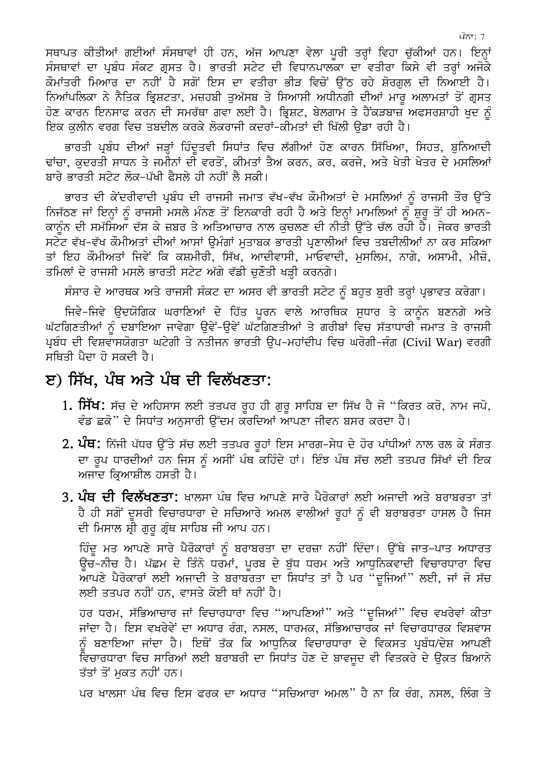ਸਥਾਪਤ ਕੀਤੀਆਂ ਗਈਆਂ ਸੰਸਥਾਵਾਂ ਹੀ ਹਨ, ਅੱਜ ਆਪਣਾ ਵੇਲਾ ਪੂਰੀ ਤਰ੍ਹਾਂ ਵਿਹਾ ਚੁੱਕੀਆਂ ਹਨ। ਇਨ੍ਹਾਂ ਸੰਸਥਾਵਾਂ ਦਾ ਪ੍ਰਬੰਧ ਸੰਕਟ ਗ੍ਰਸਤ ਹੈ। ਭਾਰਤੀ ਸਟੇਟ ਦੀ ਵਿਧਾਨਪਾਲਕਾ ਦਾ ਵਤੀਰਾ ਕਿਸੇ ਵੀ ਤਰ੍ਹਾਂ ਅਜੋਕੇ ਕੌਮਾਂਤਰੀ ਮਿਆਰ ਦਾ ਨਹੀਂ ਹੈ ਸਗੋਂ ਇਸ ਦਾ ਵਤੀਰਾ ਭੀੜ ਵਿਚੋਂ ਉੱਠ ਰਹੇ ਸ਼ੋਰਗਲ ਦੀ ਨਿਆਈ ਹੈ। ਨਿਆਂਪਲਿਕਾ ਨੇ ਨੈਤਿਕ ਭ੍ਰਿਸ਼ਟਤਾ, ਮਜ਼ਹਬੀ ਤਅੱਸਬ ਤੇ ਸਿਆਸੀ ਅਧੀਨਗੀ ਦੀਆਂ ਮਾਰ ਅਲਾਮਤਾਂ ਤੋਂ ਗੁਸਤ ਹੋਣ ਕਾਰਨ ਇਨਸਾਫ ਕਰਨ ਦੀ ਸਮਰੱਥਾ ਗਵਾ ਲਈ ਹੈ। ਭ੍ਰਿਸ਼ਟ, ਬੇਲਗਾਮ ਤੇ ਹੈਂਕੜਬਾਜ਼ ਅਫਸਰਸ਼ਾਹੀ ਖੁਦ ਨੂੰ ਇਕ ਕਲੀਨ ਵਰਗ ਵਿਚ ਤਬਦੀਲ ਕਰਕੇ ਲੋਕਰਾਜੀ ਕਦਰਾਂ-ਕੀਮਤਾਂ ਦੀ ਖਿੱਲੀ ੳਡਾ ਰਹੀ ਹੈ।

ਭਾਰਤੀ ਪੁਬੰਧ ਦੀਆਂ ਜੜ੍ਹਾਂ ਹਿੰਦਤਵੀ ਸਿਧਾਂਤ ਵਿਚ ਲੱਗੀਆਂ ਹੋਣ ਕਾਰਨ ਸਿੱਖਿਆ, ਸਿਹਤ, ਬਨਿਆਦੀ ਢਾਂਚਾ, ਕਦਰਤੀ ਸਾਧਨ ਤੇ ਜਮੀਨਾਂ ਦੀ ਵਰਤੋਂ, ਕੀਮਤਾਂ ਤੈਅ ਕਰਨ, ਕਰ, ਕਰਜੇ, ਅਤੇ ਖੇਤੀ ਖੇਤਰ ਦੇ ਮਸਲਿਆਂ ਬਾਰੇ ਭਾਰਤੀ ਸਟੇਟ ਲੋਕ-ਪੱਖੀ ਫੈਸਲੇ ਹੀ ਨਹੀਂ ਲੈ ਸਕੀ।

ਭਾਰਤ ਦੀ ਕੇਂਦਰੀਵਾਦੀ ਪ੍ਰਬੰਧ ਦੀ ਰਾਜਸੀ ਜਮਾਤ ਵੱਖ-ਵੱਖ ਕੌਮੀਅਤਾਂ ਦੇ ਮਸਲਿਆਂ ਨੂੰ ਰਾਜਸੀ ਤੌਰ ਉੱਤੇ ਨਿਜੱਠਣ ਜਾਂ ਇਨ੍ਹਾਂ ਨੂੰ ਰਾਜਸੀ ਮਸਲੇ ਮੰਨਣ ਤੋਂ ਇਨਕਾਰੀ ਰਹੀ ਹੈ ਅਤੇ ਇਨ੍ਹਾਂ ਮਾਮਲਿਆਂ ਨੂੰ ਸ਼ੁਰੂ ਤੋਂ ਹੀ ਅਮਨ-ਕਾਨੂੰਨ ਦੀ ਸਮੱਸਿਆ ਦੱਸ ਕੇ ਜ਼ਬਰ ਤੇ ਅਤਿਆਚਾਰ ਨਾਲ ਕੁਚਲਣ ਦੀ ਨੀਤੀ ਉੱਤੇ ਚੱਲ ਰਹੀ ਹੈ। ਜੇਕਰ ਭਾਰਤੀ ਸਟੇਟ ਵੱਖ-ਵੱਖ ਕੌਮੀਅਤਾਂ ਦੀਆਂ ਆਸਾਂ ਉਮੰਗਾਂ ਮੁਤਾਬਕ ਭਾਰਤੀ ਪ੍ਰਣਾਲੀਆਂ ਵਿਚ ਤਬਦੀਲੀਆਂ ਨਾ ਕਰ ਸਕਿਆ ਤਾਂ ਇਹ ਕੌਮੀਅਤਾਂ ਜਿਵੇਂ ਕਿ ਕਸ਼ਮੀਰੀ, ਸਿੱਖ, ਆਦੀਵਾਸੀ, ਮਾਓਵਾਦੀ, ਮਸਲਿਮ, ਨਾਗੇ, ਅਸਾਮੀ, ਮੀਜ਼ੋ, ਤਮਿਲਾਂ ਦੇ ਰਾਜਸੀ ਮਸਲੇ ਭਾਰਤੀ ਸਟੇਟ ਅੱਗੇ ਵੱਡੀ ਚਣੌਤੀ ਖੜੀ ਕਰਨਗੇ।

ਸੰਸਾਰ ਦੇ ਆਰਥਕ ਅਤੇ ਰਾਜਸੀ ਸੰਕਟ ਦਾ ਅਸਰ ਵੀ ਭਾਰਤੀ ਸਟੇਟ ਨੂੰ ਬਹੁਤ ਬੁਰੀ ਤਰ੍ਹਾਂ ਪ੍ਰਭਾਵਤ ਕਰੇਗਾ।

ਜਿਵੇ-ਜਿਵੇ ਉਦਯੋਗਿਕ ਘਰਾਣਿਆਂ ਦੇ ਹਿੱਤ ਪੂਰਨ ਵਾਲੇ ਆਰਥਿਕ ਸੁਧਾਰ ਤੇ ਕਾਨੂੰਨ ਬਣਨਗੇ ਅਤੇ ਘੱਟਗਿਣਤੀਆਂ ਨੂੰ ਦਬਾਇਆ ਜਾਵੇਗਾ ਉਵੇਂ-ਉਵੇਂ ਘੱਟਗਿਣਤੀਆਂ ਤੇ ਗਰੀਬਾਂ ਵਿਚ ਸੱਤਾਧਾਰੀ ਜਮਾਤ ਤੇ ਰਾਜਸੀ ਪ੍ਰਬੰਧ ਦੀ ਵਿਸ਼ਵਾਸਯੋਗਤਾ ਘਟੇਗੀ ਤੇ ਨਤੀਜਨ ਭਾਰਤੀ ਉਪ-ਮਹਾਂਦੀਪ ਵਿਚ ਘਰੋਗੀ-ਜੰਗ (Civil War) ਵਰਗੀ ਸਥਿਤੀ ਪੈਦਾ ਹੋ ਸਕਦੀ ਹੈ।

## ੲ) ਸਿੱਖ, ਪੰਥ ਅਤੇ ਪੰਥ ਦੀ ਵਿਲੱਖਣਤਾ:

- 1**. ਸਿੱਖ:** ਸੱਚ ਦੇ ਅਹਿਸਾਸ ਲਈ ਤਤਪਰ ਰੂਹ ਹੀ ਗੁਰੂ ਸਾਹਿਬ ਦਾ ਸਿੱਖ ਹੈ ਜੋ ''ਕਿਰਤ ਕਰੋ, ਨਾਮ ਜਪੋ, ਵੰਡ ਛਕੋ" ਦੇ ਸਿਧਾਂਤ ਅਨਸਾਰੀ ਉੱਦਮ ਕਰਦਿਆਂ ਆਪਣਾ ਜੀਵਨ ਬਸਰ ਕਰਦਾ ਹੈ।
- 2. ਪੰਥ: ਨਿੱਜੀ ਪੱਧਰ ਉੱਤੇ ਸੱਚ ਲਈ ਤਤਪਰ ਰੂਹਾਂ ਇਸ ਮਾਰਗ-ਸੇਧ ਦੇ ਹੋਰ ਪਾਂਧੀਆਂ ਨਾਲ ਰਲ ਕੇ ਸੰਗਤ ਦਾ ਰੂਪ ਧਾਰਦੀਆਂ ਹਨ ਜਿਸ ਨੂੰ ਅਸੀਂ ਪੰਥ ਕਹਿੰਦੇ ਹਾਂ। ਇੰਝ ਪੰਥ ਸੱਚ ਲਈ ਤਤਪਰ ਸਿੱਖਾਂ ਦੀ ਇਕ ਅਜਾਦ ਕਿਆਸ਼ੀਲ ਹਸਤੀ ਹੈ।
- 3. ਪੰਥ ਦੀ ਵਿਲੱਖਣਤਾ: ਖਾਲਸਾ ਪੰਥ ਵਿਚ ਆਪਣੇ ਸਾਰੇ ਪੈਰੋਕਾਰਾਂ ਲਈ ਅਜਾਦੀ ਅਤੇ ਬਰਾਬਰਤਾ ਤਾਂ ਹੈ ਹੀ ਸਗੋਂ ਦੂਸਰੀ ਵਿਚਾਰਧਾਰਾ ਦੇ ਸਚਿਆਰੇ ਅਮਲ ਵਾਲੀਆਂ ਰੂਹਾਂ ਨੂੰ ਵੀ ਬਰਾਬਰਤਾ ਹਾਸਲ ਹੈ ਜਿਸ ਦੀ ਮਿਸਾਲ ਸ਼੍ਰੀ ਗੁਰੂ ਗ੍ਰੰਥ ਸਾਹਿਬ ਜੀ ਆਪ ਹਨ।

ਹਿੰਦੂ ਮਤ ਆਪਣੇ ਸਾਰੇ ਪੈਰੋਕਾਰਾਂ ਨੂੰ ਬਰਾਬਰਤਾ ਦਾ ਦਰਜ਼ਾ ਨਹੀਂ ਦਿੰਦਾ। ਉੱਥੇ ਜਾਤ–ਪਾਤ ਅਧਾਰਤ ਉਚ-ਨੀਚ ਹੈ। ਪੱਛਮ ਦੇ ਤਿੰਨੋਂ ਧਰਮਾਂ, ਪੂਰਬ ਦੇ ਬੁੱਧ ਧਰਮ ਅਤੇ ਆਧੁਨਿਕਵਾਦੀ ਵਿਚਾਰਧਾਰਾ ਵਿਚ ਆਪਣੇ ਪੈਰੋਕਾਰਾਂ ਲਈ ਅਜਾਦੀ ਤੇ ਬਰਾਬਰਤਾ ਦਾ ਸਿਧਾਂਤ ਤਾਂ ਹੈ ਪਰ "ਦਜਿਆਂ" ਲਈ, ਜਾਂ ਜੋ ਸੱਚ ਲਈ ਤਤਪਰ ਨਹੀਂ ਹਨ, ਵਾਸਤੇ ਕੋਈ ਥਾਂ ਨਹੀਂ ਹੈ।

ਹਰ ਧਰਮ, ਸੱਭਿਆਚਾਰ ਜਾਂ ਵਿਚਾਰਧਾਰਾ ਵਿਚ "ਆਪਣਿਆਂ" ਅਤੇ "ਦੁਜਿਆਂ" ਵਿਚ ਵਖਰੇਵਾਂ ਕੀਤਾ ਜਾਂਦਾ ਹੈ। ਇਸ ਵਖਰੇਵੇਂ ਦਾ ਅਧਾਰ ਰੰਗ, ਨਸਲ, ਧਾਰਮਕ, ਸੱਭਿਆਚਾਰਕ ਜਾਂ ਵਿਚਾਰਧਾਰਕ ਵਿਸ਼ਵਾਸ ਨੰ ਬਣਾਇਆ ਜਾਂਦਾ ਹੈ। ਇਥੋਂ ਤੱਕ ਕਿ ਆਧਨਿਕ ਵਿਚਾਰਧਾਰਾ ਦੇ ਵਿਕਸਤ ਪ੍ਰਬੰਧ/ਦੇਸ਼ ਆਪਣੀ ਵਿਚਾਰਧਾਰਾ ਵਿਚ ਸਾਰਿਆਂ ਲਈ ਬਰਾਬਰੀ ਦਾ ਸਿਧਾਂਤ ਹੋਣ ਦੇ ਬਾਵਜਦ ਵੀ ਵਿਤਕਰੇ ਦੇ ੳਕਤ ਬਿਆਨੇ ਤੱਤਾਂ ਤੋਂ ਮਕਤ ਨਹੀਂ ਹਨ।

ਪਰ ਖਾਲਸਾ ਪੰਥ ਵਿਚ ਇਸ ਫਰਕ ਦਾ ਅਧਾਰ "ਸਚਿਆਰਾ ਅਮਲ" ਹੈ ਨਾ ਕਿ ਰੰਗ, ਨਸਲ, ਲਿੰਗ ਤੇ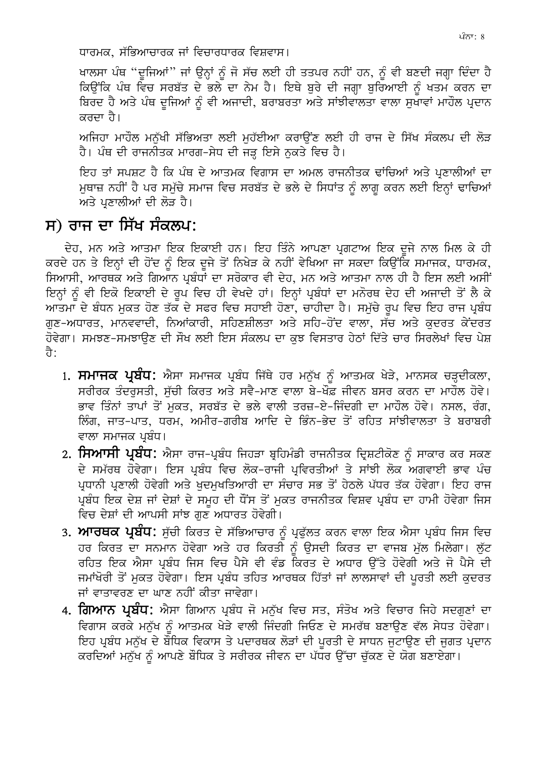ਖਾਲਸਾ ਪੰਥ "ਦੂਜਿਆਂ" ਜਾਂ ਉਨ੍ਹਾਂ ਨੂੰ ਜੋ ਸੱਚ ਲਈ ਹੀ ਤਤਪਰ ਨਹੀਂ ਹਨ, ਨੂੰ ਵੀ ਬਣਦੀ ਜਗ੍ਹਾ ਦਿੰਦਾ ਹੈ ਕਿੳਂਕਿ ਪੰਥ ਵਿਚ ਸਰਬੱਤ ਦੇ ਭਲੇ ਦਾ ਨੇਮ ਹੈ। ਇਥੇ ਬੁਰੇ ਦੀ ਜਗ੍ਹਾ ਬੁਰਿਆਈ ਨੂੰ ਖਤਮ ਕਰਨ ਦਾ ਬਿਰਦ ਹੈ ਅਤੇ ਪੰਥ ਦੂਜਿਆਂ ਨੂੰ ਵੀ ਅਜਾਦੀ, ਬਰਾਬਰਤਾ ਅਤੇ ਸਾਂਝੀਵਾਲਤਾ ਵਾਲਾ ਸੁਖਾਵਾਂ ਮਾਹੌਲ ਪ੍ਰਦਾਨ ਕਰਦਾ ਹੈ।

ਅਜਿਹਾ ਮਾਹੌਲ ਮਨੱਖੀ ਸੱਭਿਅਤਾ ਲਈ ਮਹੱਈਆ ਕਰਾਉਂਣ ਲਈ ਹੀ ਰਾਜ ਦੇ ਸਿੱਖ ਸੰਕਲਪ ਦੀ ਲੋੜ ਹੈ। ਪੰਥ ਦੀ ਰਾਜਨੀਤਕ ਮਾਰਗ-ਸੇਧ ਦੀ ਜੜ ਇਸੇ ਨਕਤੇ ਵਿਚ ਹੈ।

ਇਹ ਤਾਂ ਸਪਸ਼ਟ ਹੈ ਕਿ ਪੰਥ ਦੇ ਆਤਮਕ ਵਿਗਾਸ ਦਾ ਅਮਲ ਰਾਜਨੀਤਕ ਢਾਂਚਿਆਂ ਅਤੇ ਪ੍ਰਣਾਲੀਆਂ ਦਾ ਮੁਥਾਜ਼ ਨਹੀਂ ਹੈ ਪਰ ਸਮੁੱਚੇ ਸਮਾਜ ਵਿਚ ਸਰਬੱਤ ਦੇ ਭਲੇ ਦੇ ਸਿਧਾਂਤ ਨੂੰ ਲਾਗੂ ਕਰਨ ਲਈ ਇਨ੍ਹਾਂ ਢਾਚਿਆਂ ਅਤੇ ਪਣਾਲੀਆਂ ਦੀ ਲੋੜ ਹੈ।

# ਸ) ਰਾਜ ਦਾ ਸਿੱਖ ਸੰਕਲਪ:

ਦੇਹ, ਮਨ ਅਤੇ ਆਤਮਾ ਇਕ ਇਕਾਈ ਹਨ। ਇਹ ਤਿੰਨੇ ਆਪਣਾ ਪੁਗਟਾਅ ਇਕ ਦਜੇ ਨਾਲ ਮਿਲ ਕੇ ਹੀ ਕਰਦੇ ਹਨ ਤੇ ਇਨ੍ਹਾਂ ਦੀ ਹੋਂਦ ਨੰ ਇਕ ਦਜੇ ਤੋਂ ਨਿਖੇੜ ਕੇ ਨਹੀਂ ਵੇਖਿਆ ਜਾ ਸਕਦਾ ਕਿਉਂਕਿ ਸਮਾਜਕ, ਧਾਰਮਕ, ਸਿਆਸੀ, ਆਰਥਕ ਅਤੇ ਗਿਆਨ ਪ੍ਰਬੰਧਾਂ ਦਾ ਸਰੋਕਾਰ ਵੀ ਦੇਹ, ਮਨ ਅਤੇ ਆਤਮਾ ਨਾਲ ਹੀ ਹੈ ਇਸ ਲਈ ਅਸੀਂ ਇਨ੍ਹਾਂ ਨੂੰ ਵੀ ਇਕੋ ਇਕਾਈ ਦੇ ਰੂਪ ਵਿਚ ਹੀ ਵੇਖਦੇ ਹਾਂ। ਇਨ੍ਹਾਂ ਪ੍ਰਬੰਧਾਂ ਦਾ ਮਨੋਰਥ ਦੇਹ ਦੀ ਅਜਾਦੀ ਤੋਂ ਲੈ ਕੇ ਆਤਮਾ ਦੇ ਬੰਧਨ ਮੁਕਤ ਹੋਣ ਤੱਕ ਦੇ ਸਫਰ ਵਿਚ ਸਹਾਈ ਹੋਣਾ, ਚਾਹੀਦਾ ਹੈ। ਸਮੁੱਚੇ ਰੂਪ ਵਿਚ ਇਹ ਰਾਜ ਪ੍ਰਬੰਧ ਗੁਣ–ਅਧਾਰਤ, ਮਾਨਵਵਾਦੀ, ਨਿਆਂਕਾਰੀ, ਸਹਿਣਸ਼ੀਲਤਾ ਅਤੇ ਸਹਿ–ਹੋਂਦ ਵਾਲਾ, ਸੱਚ ਅਤੇ ਕੁਦਰਤ ਕੇਂਦਰਤ ਹੋਵੇਗਾ। ਸਮਝਣ-ਸਮਝਾੳਣ ਦੀ ਸੌਖ ਲਈ ਇਸ ਸੰਕਲਪ ਦਾ ਕਝ ਵਿਸਤਾਰ ਹੇਠਾਂ ਦਿੱਤੇ ਚਾਰ ਸਿਰਲੇਖਾਂ ਵਿਚ ਪੇਸ਼ ਹੈ:

- 1. ਸਮਾਜਕ ਪ੍ਰਬੰਧ: ਐਸਾ ਸਮਾਜਕ ਪ੍ਰਬੰਧ ਜਿੱਥੇ ਹਰ ਮਨੁੱਖ ਨੂੰ ਆਤਮਕ ਖੇੜੇ, ਮਾਨਸਕ ਚੜ੍ਹਦੀਕਲਾ, ਸਰੀਰਕ ਤੰਦਰਸਤੀ, ਸੱਚੀ ਕਿਰਤ ਅਤੇ ਸਵੈ-ਮਾਣ ਵਾਲਾ ਬੇ-ਖੌਫ਼ ਜੀਵਨ ਬਸਰ ਕਰਨ ਦਾ ਮਾਹੌਲ ਹੋਵੇ। ਭਾਵ ਤਿੰਨਾਂ ਤਾਪਾਂ ਤੋਂ ਮਕਤ, ਸਰਬੱਤ ਦੇ ਭਲੇ ਵਾਲੀ ਤਰਜ਼-ਏ-ਜਿੰਦਗੀ ਦਾ ਮਾਹੌਲ ਹੋਵੇ। ਨਸਲ, ਰੰਗ, ਲਿੰਗ, ਜਾਤ-ਪਾਤ, ਧਰਮ, ਅਮੀਰ-ਗਰੀਬ ਆਦਿ ਦੇ ਭਿੰਨ-ਭੇਦ ਤੋਂ ਰਹਿਤ ਸਾਂਝੀਵਾਲਤਾ ਤੇ ਬਰਾਬਰੀ ਵਾਲਾ ਸਮਾਜਕ ਪ੍ਰਬੰਧ।
- 2. ਸਿਆਸੀ ਪ੍ਰਬੰਧ: ਐਸਾ ਰਾਜ-ਪ੍ਰਬੰਧ ਜਿਹੜਾ ਬ੍ਰਹਿਮੰਡੀ ਰਾਜਨੀਤਕ ਦ੍ਰਿਸ਼ਟੀਕੋਣ ਨੂੰ ਸਾਕਾਰ ਕਰ ਸਕਣ ਦੇ ਸਮੱਰਥ ਹੋਵੇਗਾ। ਇਸ ਪਬੰਧ ਵਿਚ ਲੋਕ-ਰਾਜੀ ਪਵਿਰਤੀਆਂ ਤੇ ਸਾਂਝੀ ਲੋਕ ਅਗਵਾਈ ਭਾਵ ਪੰਚ ਪ੍ਰਧਾਨੀ ਪ੍ਰਣਾਲੀ ਹੋਵੇਗੀ ਅਤੇ ਖੁਦਮੁਖਤਿਆਰੀ ਦਾ ਸੰਚਾਰ ਸਭ ਤੋਂ ਹੇਠਲੇ ਪੱਧਰ ਤੱਕ ਹੋਵੇਗਾ। ਇਹ ਰਾਜ ਪ੍ਰਬੰਧ ਇਕ ਦੇਸ਼ ਜਾਂ ਦੇਸ਼ਾਂ ਦੇ ਸਮਹ ਦੀ ਧੌਂਸ ਤੋਂ ਮਕਤ ਰਾਜਨੀਤਕ ਵਿਸ਼ਵ ਪ੍ਰਬੰਧ ਦਾ ਹਾਮੀ ਹੋਵੇਗਾ ਜਿਸ ਵਿਚ ਦੇਸ਼ਾਂ ਦੀ ਆਪਸੀ ਸਾਂਝ ਗੁਣ ਅਧਾਰਤ ਹੋਵੇਗੀ।
- 3**. ਆਰਥਕ ਪ੍ਰਬੰਧ:** ਸੱਚੀ ਕਿਰਤ ਦੇ ਸੱਭਿਆਚਾਰ ਨੰ ਪੁਫੱਲਤ ਕਰਨ ਵਾਲਾ ਇਕ ਐਸਾ ਪ੍ਰਬੰਧ ਜਿਸ ਵਿਚ ਹਰ ਕਿਰਤ ਦਾ ਸਨਮਾਨ ਹੋਵੇਗਾ ਅਤੇ ਹਰ ਕਿਰਤੀ ਨੂੰ ਉਸਦੀ ਕਿਰਤ ਦਾ ਵਾਜਬ ਮੁੱਲ ਮਿਲੇਗਾ। ਲੁੱਟ ਰਹਿਤ ਇਕ ਐਸਾ ਪਬੰਧ ਜਿਸ ਵਿਚ ਪੈਸੇ ਵੀ ਵੰਡ ਕਿਰਤ ਦੇ ਅਧਾਰ ਉੱਤੇ ਹੋਵੇਗੀ ਅਤੇ ਜੋ ਪੈਸੇ ਦੀ ਜਮਾਂਖੋਰੀ ਤੋਂ ਮਕਤ ਹੋਵੇਗਾ। ਇਸ ਪਬੰਧ ਤਹਿਤ ਆਰਥਕ ਹਿੱਤਾਂ ਜਾਂ ਲਾਲਸਾਵਾਂ ਦੀ ਪਰਤੀ ਲਈ ਕਦਰਤ ਜਾਂ ਵਾਤਾਵਰਣ ਦਾ ਘਾਣ ਨਹੀਂ ਕੀਤਾ ਜਾਵੇਗਾ।
- 4. ਗਿਆਨ ਪ੍ਰਬੰਧ: ਐਸਾ ਗਿਆਨ ਪ੍ਰਬੰਧ ਜੋ ਮਨੁੱਖ ਵਿਚ ਸਤ, ਸੰਤੋਖ ਅਤੇ ਵਿਚਾਰ ਜਿਹੇ ਸਦਗੁਣਾਂ ਦਾ ਵਿਗਾਸ ਕਰਕੇ ਮਨੱਖ ਨੂੰ ਆਤਮਕ ਖੇੜੇ ਵਾਲੀ ਜਿੰਦਗੀ ਜਿਓਣ ਦੇ ਸਮਰੱਥ ਬਣਾਉਣ ਵੱਲ ਸੇਧਤ ਹੋਵੇਗਾ। ਇਹ ਪ੍ਰਬੰਧ ਮਨੱਖ ਦੇ ਬੌਧਿਕ ਵਿਕਾਸ ਤੇ ਪਦਾਰਥਕ ਲੋੜਾਂ ਦੀ ਪਰਤੀ ਦੇ ਸਾਧਨ ਜਟਾੳਣ ਦੀ ਜਗਤ ਪ੍ਰਦਾਨ ਕਰਦਿਆਂ ਮਨੱਖ ਨੂੰ ਆਪਣੇ ਬੌਧਿਕ ਤੇ ਸਰੀਰਕ ਜੀਵਨ ਦਾ ਪੱਧਰ ਉੱਚਾ ਚੱਕਣ ਦੇ ਯੋਗ ਬਣਾਏਗਾ।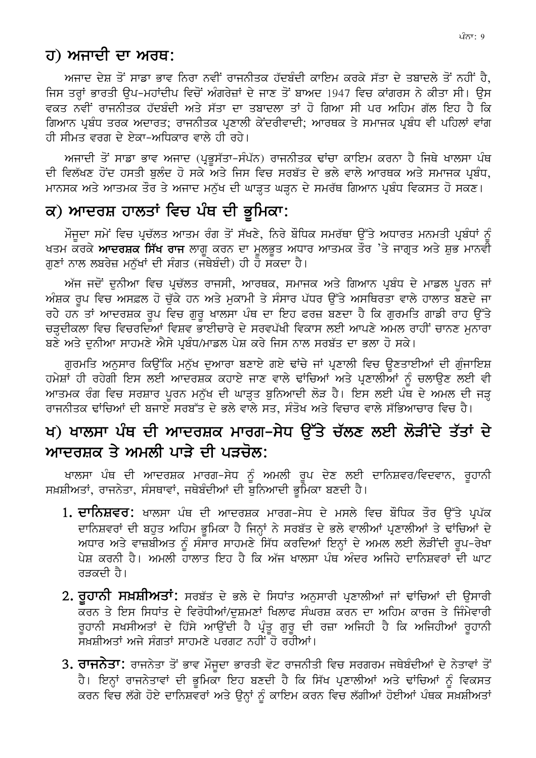## ਹ) ਅਜਾਦੀ ਦਾ ਅਰਥ:

ਅਜਾਦ ਦੇਸ਼ ਤੋਂ ਸਾਡਾ ਭਾਵ ਨਿਰਾ ਨਵੀਂ ਰਾਜਨੀਤਕ ਹੱਦਬੰਦੀ ਕਾਇਮ ਕਰਕੇ ਸੱਤਾ ਦੇ ਤਬਾਦਲੇ ਤੋਂ ਨਹੀਂ ਹੈ, ਜਿਸ ਤਰਾਂ ਭਾਰਤੀ ੳਪ-ਮਹਾਂਦੀਪ ਵਿਚੋਂ ਅੰਗਰੇਜ਼ਾਂ ਦੇ ਜਾਣ ਤੋਂ ਬਾਅਦ 1947 ਵਿਚ ਕਾਂਗਰਸ ਨੇ ਕੀਤਾ ਸੀ। ੳਸ ਵਕਤ ਨਵੀਂ ਰਾਜਨੀਤਕ ਹੱਦਬੰਦੀ ਅਤੇ ਸੱਤਾ ਦਾ ਤਬਾਦਲਾ ਤਾਂ ਹੋ ਗਿਆ ਸੀ ਪਰ ਅਹਿਮ ਗੱਲ ਇਹ ਹੈ ਕਿ ਗਿਆਨ ਪ੍ਰਬੰਧ ਤਰਕ ਅਦਾਰਤ; ਰਾਜਨੀਤਕ ਪ੍ਰਣਾਲੀ ਕੇਂਦਰੀਵਾਦੀ; ਆਰਥਕ ਤੇ ਸਮਾਜਕ ਪ੍ਰਬੰਧ ਵੀ ਪਹਿਲਾਂ ਵਾਂਗ ਹੀ ਸੀਮਤ ਵਰਗ ਦੇ ਏਕਾ-ਅਧਿਕਾਰ ਵਾਲੇ ਹੀ ਰਹੇ।

ਅਜਾਦੀ ਤੋਂ ਸਾਡਾ ਭਾਵ ਅਜਾਦ (ਪੁਭਸੱਤਾ-ਸੰਪੱਨ) ਰਾਜਨੀਤਕ ਢਾਂਚਾ ਕਾਇਮ ਕਰਨਾ ਹੈ ਜਿਥੇ ਖਾਲਸਾ ਪੰਥ ਦੀ ਵਿਲੱਖਣ ਹੋਂਦ ਹਸਤੀ ਬਲੰਦ ਹੋ ਸਕੇ ਅਤੇ ਜਿਸ ਵਿਚ ਸਰਬੱਤ ਦੇ ਭਲੇ ਵਾਲੇ ਆਰਥਕ ਅਤੇ ਸਮਾਜਕ ਪਬੰਧ, ਮਾਨਸਕ ਅਤੇ ਆਤਮਕ ਤੌਰ ਤੇ ਅਜਾਦ ਮਨੁੱਖ ਦੀ ਘਾੜ੍ਹਤ ਘੜ੍ਹਨ ਦੇ ਸਮਰੱਥ ਗਿਆਨ ਪ੍ਰਬੰਧ ਵਿਕਸਤ ਹੋ ਸਕਣ।

### ਕ) ਆਦਰਸ਼ ਹਾਲਤਾਂ ਵਿਚ ਪੰਥ ਦੀ ਭੂਮਿਕਾ:

ਮੌਜੂਦਾ ਸਮੇਂ ਵਿਚ ਪ੍ਰਚੱਲਤ ਆਤਮ ਰੰਗ ਤੋਂ ਸੱਖਣੇ, ਨਿਰੇ ਬੌਧਿਕ ਸਮਰੱਥਾ ਉੱਤੇ ਅਧਾਰਤ ਮਨਮਤੀ ਪ੍ਰਬੰਧਾਂ ਨੂੰ ਖਤਮ ਕਰਕੇ **ਆਦਰਸ਼ਕ ਸਿੱਖ ਰਾਜ** ਲਾਗੂ ਕਰਨ ਦਾ ਮੁਲਭੁਤ ਅਧਾਰ ਆਤਮਕ ਤੌਰ 'ਤੇ ਜਾਗ੍ਰਤ ਅਤੇ ਸ਼ੁਭ ਮਾਨਵੀ ਗਣਾਂ ਨਾਲ ਲਬਰੇਜ਼ ਮਨੱਖਾਂ ਦੀ ਸੰਗਤ (ਜਥੇਬੰਦੀ) ਹੀ ਹੋ ਸਕਦਾ ਹੈ।

ਅੱਜ ਜਦੋਂ ਦੁਨੀਆ ਵਿਚ ਪ੍ਰਚੱਲਤ ਰਾਜਸੀ, ਆਰਥਕ, ਸਮਾਜਕ ਅਤੇ ਗਿਆਨ ਪ੍ਰਬੰਧ ਦੇ ਮਾਡਲ ਪੂਰਨ ਜਾਂ ਅੰਸ਼ਕ ਰਪ ਵਿਚ ਅਸਫ਼ਲ ਹੋ ਚੱਕੇ ਹਨ ਅਤੇ ਮਕਾਮੀ ਤੇ ਸੰਸਾਰ ਪੱਧਰ ਉੱਤੇ ਅਸਥਿਰਤਾ ਵਾਲੇ ਹਾਲਾਤ ਬਣਦੇ ਜਾ ਰਹੇ ਹਨ ਤਾਂ ਆਦਰਸ਼ਕ ਰਪ ਵਿਚ ਗਰ ਖਾਲਸਾ ਪੰਥ ਦਾ ਇਹ ਫਰਜ਼ ਬਣਦਾ ਹੈ ਕਿ ਗਰਮਤਿ ਗਾਡੀ ਰਾਹ ਉੱਤੇ ਚੜਦੀਕਲਾ ਵਿਚ ਵਿਚਰਦਿਆਂ ਵਿਸ਼ਵ ਭਾਈਚਾਰੇ ਦੇ ਸਰਵਪੱਖੀ ਵਿਕਾਸ ਲਈ ਆਪਣੇ ਅਮਲ ਰਾਹੀਂ ਚਾਨਣ ਮਨਾਰਾ ਬਣੇ ਅਤੇ ਦਨੀਆ ਸਾਹਮਣੇ ਐਸੇ ਪਬੰਧ/ਮਾਡਲ ਪੇਸ਼ ਕਰੇ ਜਿਸ ਨਾਲ ਸਰਬੱਤ ਦਾ ਭਲਾ ਹੋ ਸਕੇ।

ਗੁਰਮਤਿ ਅਨੁਸਾਰ ਕਿਉਂਕਿ ਮਨੁੱਖ ਦੁਆਰਾ ਬਣਾਏ ਗਏ ਢਾਂਚੇ ਜਾਂ ਪ੍ਰਣਾਲੀ ਵਿਚ ਉਣਤਾਈਆਂ ਦੀ ਗੁੰਜਾਇਸ਼ ਹਮੇਸ਼ਾਂ ਹੀ ਰਹੇਗੀ ਇਸ ਲਈ ਆਦਰਸ਼ਕ ਕਹਾਏ ਜਾਣ ਵਾਲੇ ਢਾਂਚਿਆਂ ਅਤੇ ਪ੍ਰਣਾਲੀਆਂ ਨੰ ਚਲਾਉਣ ਲਈ ਵੀ ਆਤਮਕ ਰੰਗ ਵਿਚ ਸਰਸ਼ਾਰ ਪੂਰਨ ਮਨੁੱਖ ਦੀ ਘਾੜ੍ਹਤ ਬੁਨਿਆਦੀ ਲੋੜ ਹੈ। ਇਸ ਲਈ ਪੰਥ ਦੇ ਅਮਲ ਦੀ ਜੜ੍ਹ ਰਾਜਨੀਤਕ ਢਾਂਚਿਆਂ ਦੀ ਬਜਾਏ ਸਰਬੱਤ ਦੇ ਭਲੇ ਵਾਲੇ ਸਤ. ਸੰਤੋਖ ਅਤੇ ਵਿਚਾਰ ਵਾਲੇ ਸੱਭਿਆਚਾਰ ਵਿਚ ਹੈ।

# ਖ) ਖਾਲਸਾ ਪੰਥ ਦੀ ਆਦਰਸ਼ਕ ਮਾਰਗ–ਸੇਧ ਉੱਤੇ ਚੱਲਣ ਲਈ ਲੋੜੀਂਦੇ ਤੱਤਾਂ ਦੇ ਆਦਰਸ਼ਕ ਤੇ ਅਮਲੀ ਪਾੜੇ ਦੀ ਪੜਚੋਲ:

ਖਾਲਸਾ ਪੰਥ ਦੀ ਆਦਰਸ਼ਕ ਮਾਰਗ–ਸੇਧ ਨੂੰ ਅਮਲੀ ਰੂਪ ਦੇਣ ਲਈ ਦਾਨਿਸ਼ਵਰ/ਵਿਦਵਾਨ, ਰੂਹਾਨੀ ਸਖ਼ਸ਼ੀਅਤਾਂ, ਰਾਜਨੇਤਾ, ਸੰਸਥਾਵਾਂ, ਜਥੇਬੰਦੀਆਂ ਦੀ ਬੁਨਿਆਦੀ ਭੂਮਿਕਾ ਬਣਦੀ ਹੈ।

- 1**. ਦਾਨਿਸ਼ਵਰ:** ਖਾਲਸਾ ਪੰਥ ਦੀ ਆਦਰਸ਼ਕ ਮਾਰਗ-ਸੇਧ ਦੇ ਮਸਲੇ ਵਿਚ ਬੌਧਿਕ ਤੌਰ ਉੱਤੇ ਪ੍ਰਪੱਕ ਦਾਨਿਸ਼ਵਰਾਂ ਦੀ ਬਹਤ ਅਹਿਮ ਭਮਿਕਾ ਹੈ ਜਿਨ੍ਹਾਂ ਨੇ ਸਰਬੱਤ ਦੇ ਭਲੇ ਵਾਲੀਆਂ ਪ੍ਰਣਾਲੀਆਂ ਤੇ ਢਾਂਚਿਆਂ ਦੇ ਅਧਾਰ ਅਤੇ ਵਾਜ਼ਬੀਅਤ ਨੂੰ ਸੰਸਾਰ ਸਾਹਮਣੇ ਸਿੱਧ ਕਰਦਿਆਂ ਇਨ੍ਹਾਂ ਦੇ ਅਮਲ ਲਈ ਲੋੜੀਂਦੀ ਰੂਪ-ਰੇਖਾ ਪੇਸ਼ ਕਰਨੀ ਹੈ। ਅਮਲੀ ਹਾਲਾਤ ਇਹ ਹੈ ਕਿ ਅੱਜ ਖਾਲਸਾ ਪੰਥ ਅੰਦਰ ਅਜਿਹੇ ਦਾਨਿਸ਼ਵਰਾਂ ਦੀ ਘਾਟ ਰੜਕਦੀ ਹੈ।
- 2. ਰਹਾਨੀ ਸਖ਼ਸ਼ੀਅਤਾਂ: ਸਰਬੱਤ ਦੇ ਭਲੇ ਦੇ ਸਿਧਾਂਤ ਅਨਸਾਰੀ ਪੁਣਾਲੀਆਂ ਜਾਂ ਢਾਂਚਿਆਂ ਦੀ ਉਸਾਰੀ ਰਹਾਨੀ ਸਖਸੀਅਤਾਂ ਦੇ ਹਿੱਸੇ ਆਉਂਦੀ ਹੈ ਪੁੰਤ ਗਰ ਦੀ ਰਜ਼ਾ ਅਜਿਹੀ ਹੈ ਕਿ ਅਜਿਹੀਆਂ ਰਹਾਨੀ ਸੁਖਸ਼ੀਅਤਾਂ ਅਜੇ ਸੰਗਤਾਂ ਸਾਹਮਣੇ ਪਰਗਟ ਨਹੀਂ ਹੋ ਰਹੀਆਂ।
- 3. ਰਾਜਨੇਤਾ: ਰਾਜਨੇਤਾ ਤੋਂ ਭਾਵ ਮੌਜੂਦਾ ਭਾਰਤੀ ਵੋਟ ਰਾਜਨੀਤੀ ਵਿਚ ਸਰਗਰਮ ਜਥੇਬੰਦੀਆਂ ਦੇ ਨੇਤਾਵਾਂ ਤੋਂ ਹੈ। ਇਨ੍ਹਾਂ ਰਾਜਨੇਤਾਵਾਂ ਦੀ ਭਮਿਕਾ ਇਹ ਬਣਦੀ ਹੈ ਕਿ ਸਿੱਖ ਪ੍ਰਣਾਲੀਆਂ ਅਤੇ ਢਾਂਚਿਆਂ ਨੰ ਵਿਕਸਤ ਕਰਨ ਵਿਚ ਲੱਗੇ ਹੋਏ ਦਾਨਿਸ਼ਵਰਾਂ ਅਤੇ ਉਨ੍ਹਾਂ ਨੰ ਕਾਇਮ ਕਰਨ ਵਿਚ ਲੱਗੀਆਂ ਹੋਈਆਂ ਪੰਥਕ ਸਖ਼ਸ਼ੀਅਤਾਂ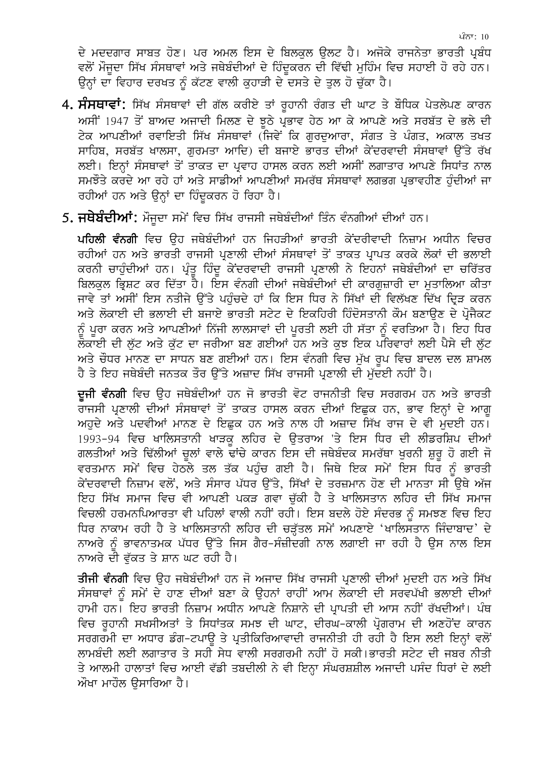ਦੇ ਮਦਦਗਾਰ ਸਾਬਤ ਹੋਣ। ਪਰ ਅਮਲ ਇਸ ਦੇ ਬਿਲਕੁਲ ਉਲਟ ਹੈ। ਅਜੋਕੇ ਰਾਜਨੇਤਾ ਭਾਰਤੀ ਪ੍ਰਬੰਧ ਵਲੋਂ ਮੌਜੂਦਾ ਸਿੱਖ ਸੰਸਥਾਵਾਂ ਅਤੇ ਜਥੇਬੰਦੀਆਂ ਦੇ ਹਿੰਦੁਕਰਨ ਦੀ ਵਿੱਢੀ ਮੁਹਿੰਮ ਵਿਚ ਸਹਾਈ ਹੋ ਰਹੇ ਹਨ। ਉਨ੍ਹਾਂ ਦਾ ਵਿਹਾਰ ਦਰਖਤ ਨੂੰ ਕੱਟਣ ਵਾਲੀ ਕੁਹਾੜੀ ਦੇ ਦਸਤੇ ਦੇ ਤੁਲ ਹੋ ਚੁੱਕਾ ਹੈ।

- 4. ਸੰਸਥਾਵਾਂ: ਸਿੱਖ ਸੰਸਥਾਵਾਂ ਦੀ ਗੱਲ ਕਰੀਏ ਤਾਂ ਰੁਹਾਨੀ ਰੰਗਤ ਦੀ ਘਾਟ ਤੇ ਬੌਧਿਕ ਪੇਤਲੇਪਣ ਕਾਰਨ ਅਸੀਂ 1947 ਤੋਂ ਬਾਅਦ ਅਜਾਦੀ ਮਿਲਣ ਦੇ ਝੁਠੇ ਪ੍ਰਭਾਵ ਹੇਠ ਆ ਕੇ ਆਪਣੇ ਅਤੇ ਸਰਬੱਤ ਦੇ ਭਲੇ ਦੀ ਟੇਕ ਆਪਣੀਆਂ ਰਵਾਇਤੀ ਸਿੱਖ ਸੰਸਥਾਵਾਂ (ਜਿਵੇਂ ਕਿ ਗਰਦਆਰਾ, ਸੰਗਤ ਤੇ ਪੰਗਤ, ਅਕਾਲ ਤਖਤ ਸਾਹਿਬ, ਸਰਬੱਤ ਖਾਲਸਾ, ਗਰਮਤਾ ਆਦਿ) ਦੀ ਬਜਾਏ ਭਾਰਤ ਦੀਆਂ ਕੇਂਦਰਵਾਦੀ ਸੰਸਥਾਵਾਂ ਉੱਤੇ ਰੱਖ ਲਈ। ਇਨ੍ਹਾਂ ਸੰਸਥਾਵਾਂ ਤੋਂ ਤਾਕਤ ਦਾ ਪ੍ਰਵਾਹ ਹਾਸਲ ਕਰਨ ਲਈ ਅਸੀਂ ਲਗਾਤਾਰ ਆਪਣੇ ਸਿਧਾਂਤ ਨਾਲ ਸਮਝੌਤੇ ਕਰਦੇ ਆ ਰਹੇ ਹਾਂ ਅਤੇ ਸਾਡੀਆਂ ਆਪਣੀਆਂ ਸਮਰੱਥ ਸੰਸਥਾਵਾਂ ਲਗਭਗ ਪਭਾਵਹੀਣ ਹੰਦੀਆਂ ਜਾ ਰਹੀਆਂ ਹਨ ਅਤੇ ਉਨਾਂ ਦਾ ਹਿੰਦਕਰਨ ਹੋ ਰਿਹਾ ਹੈ।
- 5**. ਜਥੇਬੰਦੀਆਂ:** ਮੌਜਦਾ ਸਮੇਂ ਵਿਚ ਸਿੱਖ ਰਾਜਸੀ ਜਥੇਬੰਦੀਆਂ ਤਿੰਨ ਵੰਨਗੀਆਂ ਦੀਆਂ ਹਨ।

ਪਹਿਲੀ ਵੰਨਗੀ ਵਿਚ ਉਹ ਜਥੇਬੰਦੀਆਂ ਹਨ ਜਿਹੜੀਆਂ ਭਾਰਤੀ ਕੇਂਦਰੀਵਾਦੀ ਨਿਜ਼ਾਮ ਅਧੀਨ ਵਿਚਰ ਰਹੀਆਂ ਹਨ ਅਤੇ ਭਾਰਤੀ ਰਾਜਸੀ ਪ੍ਰਣਾਲੀ ਦੀਆਂ ਸੰਸਥਾਵਾਂ ਤੋਂ ਤਾਕਤ ਪ੍ਰਾਪਤ ਕਰਕੇ ਲੋਕਾਂ ਦੀ ਭਲਾਈ ਕਰਨੀ ਚਾਹੰਦੀਆਂ ਹਨ। ਪ੍ਰੰਤ ਹਿੰਦ ਕੇਂਦਰਵਾਦੀ ਰਾਜਸੀ ਪ੍ਰਣਾਲੀ ਨੇ ਇਹਨਾਂ ਜਥੇਬੰਦੀਆਂ ਦਾ ਚਰਿੱਤਰ ਬਿਲਕਲ ਭਿਸ਼ਟ ਕਰ ਦਿੱਤਾ ਹੈ। ਇਸ ਵੰਨਗੀ ਦੀਆਂ ਜਥੇਬੰਦੀਆਂ ਦੀ ਕਾਰਗਜ਼ਾਰੀ ਦਾ ਮਤਾਲਿਆ ਕੀਤਾ ਜਾਵੇ ਤਾਂ ਅਸੀਂ ਇਸ ਨਤੀਜੇ ਉੱਤੇ ਪਹੁੰਚਦੇ ਹਾਂ ਕਿ ਇਸ ਧਿਰ ਨੇ ਸਿੱਖਾਂ ਦੀ ਵਿਲੱਖਣ ਦਿੱਖ ਦ੍ਰਿੜ ਕਰਨ ਅਤੇ ਲੋਕਾਈ ਦੀ ਭਲਾਈ ਦੀ ਬਜਾਏ ਭਾਰਤੀ ਸਟੇਟ ਦੇ ਇਕਹਿਰੀ ਹਿੰਦੋਸਤਾਨੀ ਕੌਮ ਬਣਾਉਣ ਦੇ ਪ੍ਰੋਜੈਕਟ ਨੂੰ ਪੂਰਾ ਕਰਨ ਅਤੇ ਆਪਣੀਆਂ ਨਿੱਜੀ ਲਾਲਸਾਵਾਂ ਦੀ ਪੂਰਤੀ ਲਈ ਹੀ ਸੱਤਾ ਨੂੰ ਵਰਤਿਆ ਹੈ। ਇਹ ਧਿਰ ਲੋਕਾਈ ਦੀ ਲੱਟ ਅਤੇ ਕੱਟ ਦਾ ਜਰੀਆ ਬਣ ਗਈਆਂ ਹਨ ਅਤੇ ਕਝ ਇਕ ਪਰਿਵਾਰਾਂ ਲਈ ਪੈਸੇ ਦੀ ਲੱਟ ਅਤੇ ਚੌਧਰ ਮਾਨਣ ਦਾ ਸਾਧਨ ਬਣ ਗਈਆਂ ਹਨ। ਇਸ ਵੰਨਗੀ ਵਿਚ ਮੱਖ ਰਪ ਵਿਚ ਬਾਦਲ ਦਲ ਸ਼ਾਮਲ ਹੈ ਤੇ ਇਹ ਜਥੇਬੰਦੀ ਜਨਤਕ ਤੌਰ ਉੱਤੇ ਅਜ਼ਾਦ ਸਿੱਖ ਰਾਜਸੀ ਪ੍ਰਣਾਲੀ ਦੀ ਮੱਦਈ ਨਹੀਂ ਹੈ।

ਦਜੀ ਵੰਨਗੀ ਵਿਚ ਉਹ ਜਥੇਬੰਦੀਆਂ ਹਨ ਜੋ ਭਾਰਤੀ ਵੋਟ ਰਾਜਨੀਤੀ ਵਿਚ ਸਰਗਰਮ ਹਨ ਅਤੇ ਭਾਰਤੀ ਰਾਜਸੀ ਪ੍ਰਣਾਲੀ ਦੀਆਂ ਸੰਸਥਾਵਾਂ ਤੋਂ ਤਾਕਤ ਹਾਸਲ ਕਰਨ ਦੀਆਂ ਇਛਕ ਹਨ, ਭਾਵ ਇਨ੍ਹਾਂ ਦੇ ਆਗ ਅਹਦੇ ਅਤੇ ਪਦਵੀਆਂ ਮਾਨਣ ਦੇ ਇਛਕ ਹਨ ਅਤੇ ਨਾਲ ਹੀ ਅਜ਼ਾਦ ਸਿੱਖ ਰਾਜ ਦੇ ਵੀ ਮਦਈ ਹਨ। 1993-94 ਵਿਚ ਖਾਲਿਸਤਾਨੀ ਖਾੜਕ ਲਹਿਰ ਦੇ ਉਤਰਾਅ 'ਤੇ ਇਸ ਧਿਰ ਦੀ ਲੀਡਰਸ਼ਿਪ ਦੀਆਂ ਗਲਤੀਆਂ ਅਤੇ ਢਿੱਲੀਆਂ ਚੁਲਾਂ ਵਾਲੇ ਢਾਂਚੇ ਕਾਰਨ ਇਸ ਦੀ ਜਥੇਬੰਦਕ ਸਮਰੱਥਾ ਖੁਰਨੀ ਸ਼ੁਰੂ ਹੋ ਗਈ ਜੋ ਵਰਤਮਾਨ ਸਮੇਂ ਵਿਚ ਹੇਠਲੇ ਤਲ ਤੱਕ ਪਹੁੰਚ ਗਈ ਹੈ। ਜਿਥੇ ਇਕ ਸਮੇਂ ਇਸ ਧਿਰ ਨੂੰ ਭਾਰਤੀ ਕੇਂਦਰਵਾਦੀ ਨਿਜ਼ਾਮ ਵਲੋਂ, ਅਤੇ ਸੰਸਾਰ ਪੱਧਰ ਉੱਤੇ, ਸਿੱਖਾਂ ਦੇ ਤਰਜ਼ਮਾਨ ਹੋਣ ਦੀ ਮਾਨਤਾ ਸੀ ੳਥੇ ਅੱਜ ਇਹ ਸਿੱਖ ਸਮਾਜ ਵਿਚ ਵੀ ਆਪਣੀ ਪਕੜ ਗਵਾ ਚੱਕੀ ਹੈ ਤੇ ਖਾਲਿਸਤਾਨ ਲਹਿਰ ਦੀ ਸਿੱਖ ਸਮਾਜ ਵਿਚਲੀ ਹਰਮਨਪਿਆਰਤਾ ਵੀ ਪਹਿਲਾਂ ਵਾਲੀ ਨਹੀਂ ਰਹੀ। ਇਸ ਬਦਲੇ ਹੋਏ ਸੰਦਰਭ ਨੂੰ ਸਮਝਣ ਵਿਚ ਇਹ ਧਿਰ ਨਾਕਾਮ ਰਹੀ ਹੈ ਤੇ ਖਾਲਿਸਤਾਨੀ ਲਹਿਰ ਦੀ ਚੜੱਤਲ ਸਮੇਂ ਅਪਣਾਏ 'ਖਾਲਿਸਤਾਨ ਜਿੰਦਾਬਾਦ' ਦੇ ਨਾਅਰੇ ਨੂੰ ਭਾਵਨਾਤਮਕ ਪੱਧਰ ਉੱਤੇ ਜਿਸ ਗੈਰ-ਸੰਜ਼ੀਦਗੀ ਨਾਲ ਲਗਾਈ ਜਾ ਰਹੀ ਹੈ ਉਸ ਨਾਲ ਇਸ ਨਾਅਰੇ ਦੀ ਵੱਕਤ ਤੇ ਸ਼ਾਨ ਘਟ ਰਹੀ ਹੈ।

<mark>ਤੀਜੀ ਵੰਨਗੀ</mark> ਵਿਚ ਉਹ ਜਥੇਬੰਦੀਆਂ ਹਨ ਜੋ ਅਜਾਦ ਸਿੱਖ ਰਾਜਸੀ ਪਣਾਲੀ ਦੀਆਂ ਮਦਈ ਹਨ ਅਤੇ ਸਿੱਖ ਸੰਸਥਾਵਾਂ ਨੰ ਸਮੇਂ ਦੇ ਹਾਣ ਦੀਆਂ ਬਣਾ ਕੇ ਉਹਨਾਂ ਰਾਹੀਂ ਆਮ ਲੋਕਾਈ ਦੀ ਸਰਵਪੱਖੀ ਭਲਾਈ ਦੀਆਂ ਹਾਮੀ ਹਨ। ਇਹ ਭਾਰਤੀ ਨਿਜ਼ਾਮ ਅਧੀਨ ਆਪਣੇ ਨਿਸ਼ਾਨੇ ਦੀ ਪਾਪਤੀ ਦੀ ਆਸ ਨਹੀਂ ਰੱਖਦੀਆਂ। ਪੰਥ ਵਿਚ ਰਹਾਨੀ ਸਖਸੀਅਤਾਂ ਤੇ ਸਿਧਾਂਤਕ ਸਮਝ ਦੀ ਘਾਟ, ਦੀਰਘ-ਕਾਲੀ ਪ੍ਰੋਗਰਾਮ ਦੀ ਅਣਹੋਂਦ ਕਾਰਨ ਸਰਗਰਮੀ ਦਾ ਅਧਾਰ ਡੰਗ-ਟਪਾੳ ਤੇ ਪ੍ਰਤੀਕਿਰਿਆਵਾਦੀ ਰਾਜਨੀਤੀ ਹੀ ਰਹੀ ਹੈ ਇਸ ਲਈ ਇਨ੍ਹਾਂ ਵਲੋਂ ਲਾਮਬੰਦੀ ਲਈ ਲਗਾਤਾਰ ਤੇ ਸਹੀ ਸੇਧ ਵਾਲੀ ਸਰਗਰਮੀ ਨਹੀਂ ਹੋ ਸਕੀ।ਭਾਰਤੀ ਸਟੇਟ ਦੀ ਜਬਰ ਨੀਤੀ ਤੇ ਆਲਮੀ ਹਾਲਾਤਾਂ ਵਿਚ ਆਈ ਵੱਡੀ ਤਬਦੀਲੀ ਨੇ ਵੀ ਇਨ੍ਹਾ ਸੰਘਰਸ਼ਸ਼ੀਲ ਅਜਾਦੀ ਪਸੰਦ ਧਿਰਾਂ ਦੇ ਲਈ ਔਖਾ ਮਾਹੌਲ ੳਸਾਰਿਆ ਹੈ।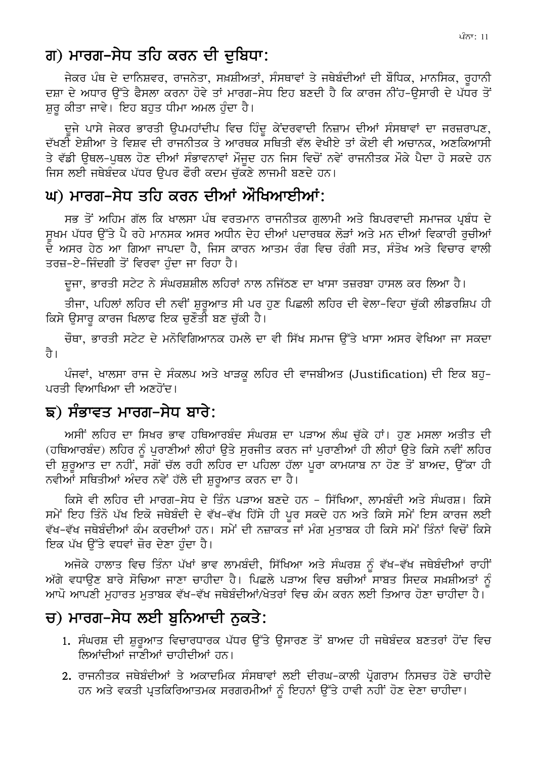## ਗ) ਮਾਰਗ–ਸੇਧ ਤਹਿ ਕਰਨ ਦੀ ਦੁਬਿਧਾ:

ਜੇਕਰ ਪੰਥ ਦੇ ਦਾਨਿਸ਼ਵਰ, ਰਾਜਨੇਤਾ, ਸਖ਼ਸ਼ੀਅਤਾਂ, ਸੰਸਥਾਵਾਂ ਤੇ ਜਥੇਬੰਦੀਆਂ ਦੀ ਬੌਧਿਕ, ਮਾਨਸਿਕ, ਰਹਾਨੀ ਦਸ਼ਾ ਦੇ ਅਧਾਰ ਉੱਤੇ ਫੈਸਲਾ ਕਰਨਾ ਹੋਵੇ ਤਾਂ ਮਾਰਗ-ਸੇਧ ਇਹ ਬਣਦੀ ਹੈ ਕਿ ਕਾਰਜ ਨੀਂਹ-ੳਸਾਰੀ ਦੇ ਪੱਧਰ ਤੋਂ ਸ਼ੁਰੂ ਕੀਤਾ ਜਾਵੇ। ਇਹ ਬਹੁਤ ਧੀਮਾ ਅਮਲ ਹੁੰਦਾ ਹੈ।

ਦਜੇ ਪਾਸੇ ਜੇਕਰ ਭਾਰਤੀ ੳਪਮਹਾਂਦੀਪ ਵਿਚ ਹਿੰਦ ਕੇਂਦਰਵਾਦੀ ਨਿਜ਼ਾਮ ਦੀਆਂ ਸੰਸਥਾਵਾਂ ਦਾ ਜਰਜ਼ਰਾਪਣ, ਦੱਖਣੀ ਏਸ਼ੀਆ ਤੇ ਵਿਸ਼ਵ ਦੀ ਰਾਜਨੀਤਕ ਤੇ ਆਰਥਕ ਸਥਿਤੀ ਵੱਲ ਵੇਖੀਏ ਤਾਂ ਕੋਈ ਵੀ ਅਚਾਨਕ. ਅਣਕਿਆਸੀ ਤੇ ਵੱਡੀ ੳਥਲ-ਪਥਲ ਹੋਣ ਦੀਆਂ ਸੰਭਾਵਨਾਵਾਂ ਮੌਜਦ ਹਨ ਜਿਸ ਵਿਚੋਂ ਨਵੇਂ ਰਾਜਨੀਤਕ ਮੌਕੇ ਪੈਦਾ ਹੋ ਸਕਦੇ ਹਨ ਜਿਸ ਲਈ ਜਥੇਬੰਦਕ ਪੱਧਰ ਉਪਰ ਫੌਰੀ ਕਦਮ ਚੱਕਣੇ ਲਾਜਮੀ ਬਣਦੇ ਹਨ।

## ਘ) ਮਾਰਗ–ਸੇਧ ਤਹਿ ਕਰਨ ਦੀਆਂ ਔਖਿਆਈਆਂ:

ਸਭ ਤੋਂ ਅਹਿਮ ਗੱਲ ਕਿ ਖਾਲਸਾ ਪੰਥ ਵਰਤਮਾਨ ਰਾਜਨੀਤਕ ਗੁਲਾਮੀ ਅਤੇ ਬਿਪਰਵਾਦੀ ਸਮਾਜਕ ਪ੍ਰਬੰਧ ਦੇ ਸਖਮ ਪੱਧਰ ੳੱਤੇ ਪੈ ਰਹੇ ਮਾਨਸਕ ਅਸਰ ਅਧੀਨ ਦੇਹ ਦੀਆਂ ਪਦਾਰਥਕ ਲੋੜਾਂ ਅਤੇ ਮਨ ਦੀਆਂ ਵਿਕਾਰੀ ਰਚੀਆਂ ਦੇ ਅਸਰ ਹੇਠ ਆ ਗਿਆ ਜਾਪਦਾ ਹੈ, ਜਿਸ ਕਾਰਨ ਆਤਮ ਰੰਗ ਵਿਚ ਰੰਗੀ ਸਤ, ਸੰਤੋਖ ਅਤੇ ਵਿਚਾਰ ਵਾਲੀ ਤਰਜ਼-ਏ-ਜਿੰਦਗੀ ਤੋਂ ਵਿਰਵਾ ਹੰਦਾ ਜਾ ਰਿਹਾ ਹੈ।

ਦਜਾ, ਭਾਰਤੀ ਸਟੇਟ ਨੇ ਸੰਘਰਸ਼ਸ਼ੀਲ ਲਹਿਰਾਂ ਨਾਲ ਨਜਿੱਠਣ ਦਾ ਖਾਸਾ ਤਜ਼ਰਬਾ ਹਾਸਲ ਕਰ ਲਿਆ ਹੈ।

ਤੀਜਾ, ਪਹਿਲਾਂ ਲਹਿਰ ਦੀ ਨਵੀਂ ਸ਼ਰਆਤ ਸੀ ਪਰ ਹਣ ਪਿਛਲੀ ਲਹਿਰ ਦੀ ਵੇਲਾ-ਵਿਹਾ ਚੱਕੀ ਲੀਡਰਸ਼ਿਪ ਹੀ ਕਿਸੇ ੳਸਾਰ ਕਾਰਜ ਖਿਲਾਫ ਇਕ ਚਣੌਤੀ ਬਣ ਚੱਕੀ ਹੈ।

ਚੌਥਾ, ਭਾਰਤੀ ਸਟੇਟ ਦੇ ਮਨੋਵਿਗਿਆਨਕ ਹਮਲੇ ਦਾ ਵੀ ਸਿੱਖ ਸਮਾਜ ਉੱਤੇ ਖਾਸਾ ਅਸਰ ਵੇਖਿਆ ਜਾ ਸਕਦਾ ते ।

ਪੰਜਵਾਂ, ਖਾਲਸਾ ਰਾਜ ਦੇ ਸੰਕਲਪ ਅਤੇ ਖਾੜਕੂ ਲਹਿਰ ਦੀ ਵਾਜਬੀਅਤ (Justification) ਦੀ ਇਕ ਬਹੁ-ਪਰਤੀ ਵਿਆਖਿਆ ਦੀ ਅਣਹੋਂਦ।

# ਙ) ਸੰਭਾਵਤ ਮਾਰਗ−ਸੇਧ ਬਾਰੇ:

ਅਸੀਂ ਲਹਿਰ ਦਾ ਸਿਖਰ ਭਾਵ ਹਥਿਆਰਬੰਦ ਸੰਘਰਸ਼ ਦਾ ਪੜਾਅ ਲੰਘ ਚੁੱਕੇ ਹਾਂ। ਹੁਣ ਮਸਲਾ ਅਤੀਤ ਦੀ (ਹਥਿਆਰਬੰਦ) ਲਹਿਰ ਨੂੰ ਪਰਾਣੀਆਂ ਲੀਹਾਂ ਉਤੇ ਸਰਜੀਤ ਕਰਨ ਜਾਂ ਪਰਾਣੀਆਂ ਹੀ ਲੀਹਾਂ ਉਤੇ ਕਿਸੇ ਨਵੀਂ ਲਹਿਰ ਦੀ ਸ਼ੁਰੂਆਤ ਦਾ ਨਹੀਂ, ਸਗੋਂ ਚੱਲ ਰਹੀ ਲਹਿਰ ਦਾ ਪਹਿਲਾ ਹੱਲਾ ਪੂਰਾ ਕਾਮਯਾਬ ਨਾ ਹੋਣ ਤੋਂ ਬਾਅਦ, ਉੱਕਾ ਹੀ ਨਵੀਆਂ ਸਥਿਤੀਆਂ ਅੰਦਰ ਨਵੇਂ ਹੱਲੇ ਦੀ ਸ਼ੁਰੂਆਤ ਕਰਨ ਦਾ ਹੈ।

ਕਿਸੇ ਵੀ ਲਹਿਰ ਦੀ ਮਾਰਗ-ਸੇਧ ਦੇ ਤਿੰਨ ਪੜਾਅ ਬਣਦੇ ਹਨ – ਸਿੱਖਿਆ, ਲਾਮਬੰਦੀ ਅਤੇ ਸੰਘਰਸ਼। ਕਿਸੇ ਸਮੇਂ ਇਹ ਤਿੰਨੋ ਪੱਖ ਇਕੋ ਜਥੇਬੰਦੀ ਦੇ ਵੱਖ-ਵੱਖ ਹਿੱਸੇ ਹੀ ਪੂਰ ਸਕਦੇ ਹਨ ਅਤੇ ਕਿਸੇ ਸਮੇਂ ਇਸ ਕਾਰਜ ਲਈ ਵੱਖ-ਵੱਖ ਜਥੇਬੰਦੀਆਂ ਕੰਮ ਕਰਦੀਆਂ ਹਨ। ਸਮੇਂ ਦੀ ਨਜ਼ਾਕਤ ਜਾਂ ਮੰਗ ਮਤਾਬਕ ਹੀ ਕਿਸੇ ਸਮੇਂ ਤਿੰਨਾਂ ਵਿਚੋਂ ਕਿਸੇ ਇਕ ਪੱਖ ੳੱਤੇ ਵਧਵਾਂ ਜ਼ੋਰ ਦੇਣਾ ਹੰਦਾ ਹੈ।

ਅਜੋਕੇ ਹਾਲਾਤ ਵਿਚ ਤਿੰਨਾ ਪੱਖਾਂ ਭਾਵ ਲਾਮਬੰਦੀ, ਸਿੱਖਿਆ ਅਤੇ ਸੰਘਰਸ਼ ਨੰ ਵੱਖ-ਵੱਖ ਜਥੇਬੰਦੀਆਂ ਰਾਹੀਂ ਅੱਗੇ ਵਧਾਉਣ ਬਾਰੇ ਸੋਚਿਆ ਜਾਣਾ ਚਾਹੀਦਾ ਹੈ। ਪਿਛਲੇ ਪੜਾਅ ਵਿਚ ਬਚੀਆਂ ਸਾਬਤ ਸਿਦਕ ਸਖ਼ਸ਼ੀਅਤਾਂ ਨੂੰ ਆਪੋ ਆਪਣੀ ਮਹਾਰਤ ਮਤਾਬਕ ਵੱਖ-ਵੱਖ ਜਥੇਬੰਦੀਆਂ/ਖੇਤਰਾਂ ਵਿਚ ਕੰਮ ਕਰਨ ਲਈ ਤਿਆਰ ਹੋਣਾ ਚਾਹੀਦਾ ਹੈ।

# ਚ) ਮਾਰਗ–ਸੇਧ ਲਈ ਬਨਿਆਦੀ ਨਕਤੇ:

- 1. ਸੰਘਰਸ਼ ਦੀ ਸ਼ਰਆਤ ਵਿਚਾਰਧਾਰਕ ਪੱਧਰ ਉੱਤੇ ਉਸਾਰਣ ਤੋਂ ਬਾਅਦ ਹੀ ਜਥੇਬੰਦਕ ਬਣਤਰਾਂ ਹੋਂਦ ਵਿਚ ਲਿਆਂਦੀਆਂ ਜਾਣੀਆਂ ਚਾਹੀਦੀਆਂ ਹਨ।
- 2. ਰਾਜਨੀਤਕ ਜਥੇਬੰਦੀਆਂ ਤੇ ਅਕਾਦਮਿਕ ਸੰਸਥਾਵਾਂ ਲਈ ਦੀਰਘ–ਕਾਲੀ ਪੋਗਰਾਮ ਨਿਸਚਤ ਹੋਣੇ ਚਾਹੀਦੇ ਹਨ ਅਤੇ ਵਕਤੀ ਪ੍ਰਤਕਿਰਿਆਤਮਕ ਸਰਗਰਮੀਆਂ ਨੂੰ ਇਹਨਾਂ ਉੱਤੇ ਹਾਵੀ ਨਹੀਂ ਹੋਣ ਦੇਣਾ ਚਾਹੀਦਾ।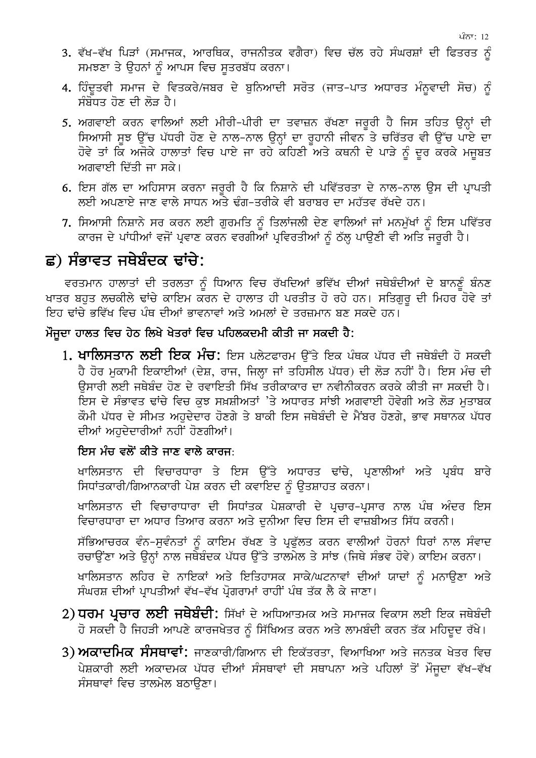- 3. ਵੱਖ-ਵੱਖ ਪਿੜਾਂ (ਸਮਾਜਕ, ਆਰਥਿਕ, ਰਾਜਨੀਤਕ ਵਗੈਰਾ) ਵਿਚ ਚੱਲ ਰਹੇ ਸੰਘਰਸ਼ਾਂ ਦੀ ਫਿਤਰਤ ਨੂੰ ਸਮਝਣਾ ਤੇ ਉਹਨਾਂ ਨੂੰ ਆਪਸ ਵਿਚ ਸੂਤਰਬੱਧ ਕਰਨਾ।
- 4. ਹਿੰਦੂਤਵੀ ਸਮਾਜ ਦੇ ਵਿਤਕਰੇ/ਜਬਰ ਦੇ ਬੁਨਿਆਦੀ ਸਰੋਤ (ਜਾਤ–ਪਾਤ ਅਧਾਰਤ ਮੰਨੁਵਾਦੀ ਸੋਚ) ਨੂੰ ਸੰਬੋਧਤ ਹੋਣ ਦੀ ਲੋੜ ਹੈ।
- 5. ਅਗਵਾਈ ਕਰਨ ਵਾਲਿਆਂ ਲਈ ਮੀਰੀ-ਪੀਰੀ ਦਾ ਤਵਾਜ਼ਨ ਰੱਖਣਾ ਜਰੂਰੀ ਹੈ ਜਿਸ ਤਹਿਤ ਉਨ੍ਹਾਂ ਦੀ ਸਿਆਸੀ ਸੂਝ ਉੱਚ ਪੱਧਰੀ ਹੋਣ ਦੇ ਨਾਲ-ਨਾਲ ਉਨ੍ਹਾਂ ਦਾ ਰੁਹਾਨੀ ਜੀਵਨ ਤੇ ਚਰਿੱਤਰ ਵੀ ਉੱਚ ਪਾਏ ਦਾ ਹੋਵੇ ਤਾਂ ਕਿ ਅਜੋਕੇ ਹਾਲਾਤਾਂ ਵਿਚ ਪਾਏ ਜਾ ਰਹੇ ਕਹਿਣੀ ਅਤੇ ਕਥਨੀ ਦੇ ਪਾੜੇ ਨੂੰ ਦਰ ਕਰਕੇ ਮਜਬਤ ਅਗਵਾਈ ਦਿੱਤੀ ਜਾ ਸਕੇ।
- 6. ਇਸ ਗੱਲ ਦਾ ਅਹਿਸਾਸ ਕਰਨਾ ਜਰੂਰੀ ਹੈ ਕਿ ਨਿਸ਼ਾਨੇ ਦੀ ਪਵਿੱਤਰਤਾ ਦੇ ਨਾਲ-ਨਾਲ ਉਸ ਦੀ ਪ੍ਰਾਪਤੀ ਲਈ ਅਪਣਾਏ ਜਾਣ ਵਾਲੇ ਸਾਧਨ ਅਤੇ ਢੰਗ-ਤਰੀਕੇ ਵੀ ਬਰਾਬਰ ਦਾ ਮਹੱਤਵ ਰੱਖਦੇ ਹਨ।
- 7. ਸਿਆਸੀ ਨਿਸ਼ਾਨੇ ਸਰ ਕਰਨ ਲਈ ਗਰਮਤਿ ਨੰ ਤਿਲਾਂਜਲੀ ਦੇਣ ਵਾਲਿਆਂ ਜਾਂ ਮਨਮੱਖਾਂ ਨੰ ਇਸ ਪਵਿੱਤਰ ਕਾਰਜ ਦੇ ਪਾਂਧੀਆਂ ਵਜੋਂ ਪ੍ਰਵਾਣ ਕਰਨ ਵਰਗੀਆਂ ਪ੍ਰਵਿਰਤੀਆਂ ਨੂੰ ਠੱਲ੍ਹ ਪਾਉਣੀ ਵੀ ਅਤਿ ਜਰੂਰੀ ਹੈ।

### ਛ) ਸੰਭਾਵਤ ਜਥੇਬੰਦਕ ਢਾਂਚੇ:

ਵਰਤਮਾਨ ਹਾਲਾਤਾਂ ਦੀ ਤਰਲਤਾ ਨੂੰ ਧਿਆਨ ਵਿਚ ਰੱਖਦਿਆਂ ਭਵਿੱਖ ਦੀਆਂ ਜਥੇਬੰਦੀਆਂ ਦੇ ਬਾਨਣੂੰ ਬੰਨਣ ਖਾਤਰ ਬਹੁਤ ਲਚਕੀਲੇ ਢਾਂਚੇ ਕਾਇਮ ਕਰਨ ਦੇ ਹਾਲਾਤ ਹੀ ਪਰਤੀਤ ਹੋ ਰਹੇ ਹਨ। ਸਤਿਗਰ ਦੀ ਮਿਹਰ ਹੋਵੇ ਤਾਂ .<br>ਇਹ ਢਾਂਚੇ ਭਵਿੱਖ ਵਿਚ ਪੰਥ ਦੀਆਂ ਭਾਵਨਾਵਾਂ ਅਤੇ ਅਮਲਾਂ ਦੇ ਤਰਜ਼ਮਾਨ ਬਣ ਸਕਦੇ ਹਨ।

#### ਮੌਜਦਾ ਹਾਲਤ ਵਿਚ ਹੇਠ ਲਿਖੇ ਖੇਤਰਾਂ ਵਿਚ ਪਹਿਲਕਦਮੀ ਕੀਤੀ ਜਾ ਸਕਦੀ ਹੈ:

1**. ਖਾਲਿਸਤਾਨ ਲਈ ਇਕ ਮੰਚ:** ਇਸ ਪਲੇਟਫਾਰਮ ਉੱਤੇ ਇਕ ਪੰਥਕ ਪੱਧਰ ਦੀ ਜਥੇਬੰਦੀ ਹੋ ਸਕਦੀ ਹੈ ਹੋਰ ਮੁਕਾਮੀ ਇਕਾਈਆਂ (ਦੇਸ਼, ਰਾਜ, ਜਿਲ੍ਹਾ ਜਾਂ ਤਹਿਸੀਲ ਪੱਧਰ) ਦੀ ਲੋੜ ਨਹੀਂ ਹੈ। ਇਸ ਮੰਚ ਦੀ ਉਸਾਰੀ ਲਈ ਜਥੇਬੰਦ ਹੋਣ ਦੇ ਰਵਾਇਤੀ ਸਿੱਖ ਤਰੀਕਾਕਾਰ ਦਾ ਨਵੀਨੀਕਰਨ ਕਰਕੇ ਕੀਤੀ ਜਾ ਸਕਦੀ ਹੈ। ਇਸ ਦੇ ਸੰਭਾਵਤ ਢਾਂਚੇ ਵਿਚ ਕੁਝ ਸਖ਼ਸ਼ੀਅਤਾਂ 'ਤੇ ਅਧਾਰਤ ਸਾਂਝੀ ਅਗਵਾਈ ਹੋਵੇਗੀ ਅਤੇ ਲੋੜ ਮਤਾਬਕ ਕੌਮੀ ਪੱਧਰ ਦੇ ਸੀਮਤ ਅਹਦੇਦਾਰ ਹੋਣਗੇ ਤੇ ਬਾਕੀ ਇਸ ਜਥੇਬੰਦੀ ਦੇ ਮੈਂਬਰ ਹੋਣਗੇ, ਭਾਵ ਸਥਾਨਕ ਪੱਧਰ ਦੀਆਂ ਅਹਦੇਦਾਰੀਆਂ ਨਹੀਂ ਹੋਣਗੀਆਂ।

#### ਇਸ ਮੰਚ ਵਲੋਂ ਕੀਤੇ ਜਾਣ ਵਾਲੇ ਕਾਰਜ:

ਖਾਲਿਸਤਾਨ ਦੀ ਵਿਚਾਰਧਾਰਾ ਤੇ ਇਸ ਉੱਤੇ ਅਧਾਰਤ ਢਾਂਚੇ, ਪ੍ਰਣਾਲੀਆਂ ਅਤੇ ਪ੍ਰਬੰਧ ਬਾਰੇ ਸਿਧਾਂਤਕਾਰੀ/ਗਿਆਨਕਾਰੀ ਪੇਸ਼ ਕਰਨ ਦੀ ਕਵਾਇਦ ਨੂੰ ਉਤਸ਼ਾਹਤ ਕਰਨਾ।

ਖਾਲਿਸਤਾਨ ਦੀ ਵਿਚਾਰਾਧਾਰਾ ਦੀ ਸਿਧਾਂਤਕ ਪੇਸ਼ਕਾਰੀ ਦੇ ਪ੍ਰਚਾਰ-ਪ੍ਰਸਾਰ ਨਾਲ ਪੰਥ ਅੰਦਰ ਇਸ ਵਿਚਾਰਧਾਰਾ ਦਾ ਅਧਾਰ ਤਿਆਰ ਕਰਨਾ ਅਤੇ ਦੁਨੀਆ ਵਿਚ ਇਸ ਦੀ ਵਾਜ਼ਬੀਅਤ ਸਿੱਧ ਕਰਨੀ।

ਸੱਭਿਆਚਰਕ ਵੰਨ–ਸੁਵੰਨਤਾਂ ਨੂੰ ਕਾਇਮ ਰੱਖਣ ਤੇ ਪ੍ਰਫੁੱਲਤ ਕਰਨ ਵਾਲੀਆਂ ਹੋਰਨਾਂ ਧਿਰਾਂ ਨਾਲ ਸੰਵਾਦ ਰਚਾਉਂਣਾ ਅਤੇ ਉਨ੍ਹਾਂ ਨਾਲ ਜਥੇਬੰਦਕ ਪੱਧਰ ਉੱਤੇ ਤਾਲਮੇਲ ਤੇ ਸਾਂਝ (ਜਿਥੇ ਸੰਭਵ ਹੋਵੇ) ਕਾਇਮ ਕਰਨਾ।

ਖਾਲਿਸਤਾਨ ਲਹਿਰ ਦੇ ਨਾਇਕਾਂ ਅਤੇ ਇਤਿਹਾਸਕ ਸਾਕੇ/ਘਟਨਾਵਾਂ ਦੀਆਂ ਯਾਦਾਂ ਨੂੰ ਮਨਾਉਣਾ ਅਤੇ ਸੰਘਰਸ਼ ਦੀਆਂ ਪ੍ਰਾਪਤੀਆਂ ਵੱਖ-ਵੱਖ ਪ੍ਰੋਗਰਾਮਾਂ ਰਾਹੀਂ ਪੰਥ ਤੱਕ ਲੈ ਕੇ ਜਾਣਾ।

- 2) **ਧਰਮ ਪ੍ਰਚਾਰ ਲਈ ਜਥੇਬੰਦੀ:** ਸਿੱਖਾਂ ਦੇ ਅਧਿਆਤਮਕ ਅਤੇ ਸਮਾਜਕ ਵਿਕਾਸ ਲਈ ਇਕ ਜਥੇਬੰਦੀ ਹੋ ਸਕਦੀ ਹੈ ਜਿਹੜੀ ਆਪਣੇ ਕਾਰਜਖੇਤਰ ਨੰ ਸਿੱਖਿਅਤ ਕਰਨ ਅਤੇ ਲਾਮਬੰਦੀ ਕਰਨ ਤੱਕ ਮਹਿਦਦ ਰੱਖੇ।
- 3) ਅਕਾਦਮਿਕ ਸੰਸਥਾਵਾਂ: ਜਾਣਕਾਰੀ/ਗਿਆਨ ਦੀ ਇਕੱਤਰਤਾ, ਵਿਆਖਿਆ ਅਤੇ ਜਨਤਕ ਖੇਤਰ ਵਿਚ ਪੇਸ਼ਕਾਰੀ ਲਈ ਅਕਾਦਮਕ ਪੱਧਰ ਦੀਆਂ ਸੰਸਥਾਵਾਂ ਦੀ ਸਥਾਪਨਾ ਅਤੇ ਪਹਿਲਾਂ ਤੋਂ ਮੌਜਦਾ ਵੱਖ–ਵੱਖ ਸੰਸਥਾਵਾਂ ਵਿਚ ਤਾਲਮੇਲ ਬਠਾੳਣਾ।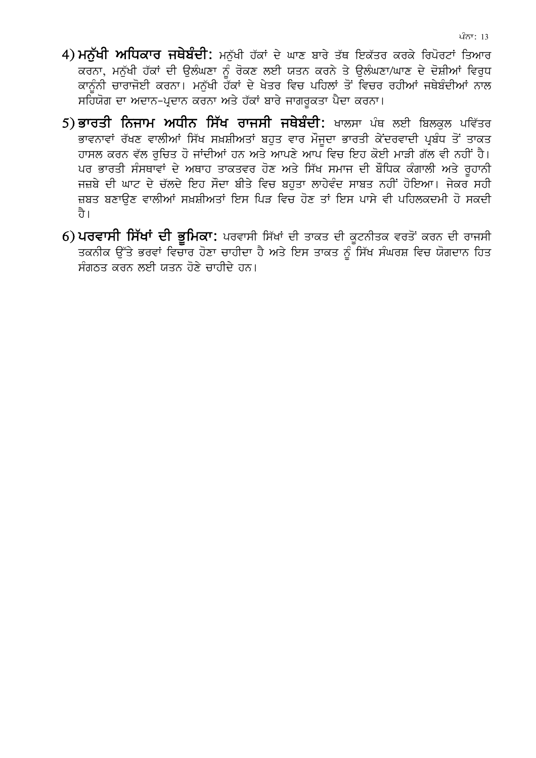- 4) ਮਨੁੱਖੀ ਅਧਿਕਾਰ ਜਥੇਬੰਦੀ: ਮਨੁੱਖੀ ਹੱਕਾਂ ਦੇ ਘਾਣ ਬਾਰੇ ਤੱਥ ਇਕੱਤਰ ਕਰਕੇ ਰਿਪੋਰਟਾਂ ਤਿਆਰ ਕਰਨਾ, ਮਨੁੱਖੀ ਹੱਕਾਂ ਦੀ ਉਲੰਘਣਾ ਨੂੰ ਰੋਕਣ ਲਈ ਯਤਨ ਕਰਨੇ ਤੇ ਉਲੰਘਣਾ/ਘਾਣ ਦੇ ਦੋਸ਼ੀਆਂ ਵਿਰੁਧ ਕਾਨੰਨੀ ਚਾਰਾਜੋਈ ਕਰਨਾ। ਮਨੱਖੀ ਹੌਂਕਾਂ ਦੇ ਖੇਤਰ ਵਿਚ ਪਹਿਲਾਂ ਤੋਂ ਵਿਚਰ ਰਹੀਆਂ ਜਥੇਬੰਦੀਆਂ ਨਾਲ ਸਹਿਯੋਗ ਦਾ ਅਦਾਨ-ਪ੍ਰਦਾਨ ਕਰਨਾ ਅਤੇ ਹੱਕਾਂ ਬਾਰੇ ਜਾਗਰੁਕਤਾ ਪੈਦਾ ਕਰਨਾ।
- 5) ਭਾਰਤੀ ਨਿਜਾਮ ਅਧੀਨ ਸਿੱਖ ਰਾਜਸੀ ਜਥੇਬੰਦੀ: ਖਾਲਸਾ ਪੰਥ ਲਈ ਬਿਲਕਲ ਪਵਿੱਤਰ ਭਾਵਨਾਵਾਂ ਰੱਖਣ ਵਾਲੀਆਂ ਸਿੱਖ ਸਖ਼ਸ਼ੀਅਤਾਂ ਬਹੁਤ ਵਾਰ ਮੌਜੂਦਾ ਭਾਰਤੀ ਕੇਂਦਰਵਾਦੀ ਪ੍ਰਬੰਧ ਤੋਂ ਤਾਕਤ ਹਾਸਲ ਕਰਨ ਵੱਲ ਰਚਿਤ ਹੋ ਜਾਂਦੀਆਂ ਹਨ ਅਤੇ ਆਪਣੇ ਆਪ ਵਿਚ ਇਹ ਕੋਈ ਮਾੜੀ ਗੱਲ ਵੀ ਨਹੀਂ ਹੈ। ਪਰ ਭਾਰਤੀ ਸੰਸਥਾਵਾਂ ਦੇ ਅਥਾਹ ਤਾਕਤਵਰ ਹੋਣ ਅਤੇ ਸਿੱਖ ਸਮਾਜ ਦੀ ਬੌਧਿਕ ਕੰਗਾਲੀ ਅਤੇ ਰਹਾਨੀ ਜਜ਼ਬੇ ਦੀ ਘਾਟ ਦੇ ਚੱਲਦੇ ਇਹ ਸੌਦਾ ਬੀਤੇ ਵਿਚ ਬਹਤਾ ਲਾਹੇਵੰਦ ਸਾਬਤ ਨਹੀਂ ਹੋਇਆ। ਜੇਕਰ ਸਹੀ ਜ਼ਬਤ ਬਣਾਉਣ ਵਾਲੀਆਂ ਸਖ਼ਸ਼ੀਅਤਾਂ ਇਸ ਪਿੜ ਵਿਚ ਹੋਣ ਤਾਂ ਇਸ ਪਾਸੇ ਵੀ ਪਹਿਲਕਦਮੀ ਹੋ ਸਕਦੀ ते ।
- 6) ਪਰਵਾਸੀ ਸਿੱਖਾਂ ਦੀ ਭੂਮਿਕਾ: ਪਰਵਾਸੀ ਸਿੱਖਾਂ ਦੀ ਤਾਕਤ ਦੀ ਕੁਟਨੀਤਕ ਵਰਤੋਂ ਕਰਨ ਦੀ ਰਾਜਸੀ ਤਕਨੀਕ ਉੱਤੇ ਭਰਵਾਂ ਵਿਚਾਰ ਹੋਣਾ ਚਾਹੀਦਾ ਹੈ ਅਤੇ ਇਸ ਤਾਕਤ ਨੂੰ ਸਿੱਖ ਸੰਘਰਸ਼ ਵਿਚ ਯੋਗਦਾਨ ਹਿਤ ਸੰਗਠਤ ਕਰਨ ਲਈ ਯਤਨ ਹੋਣੇ ਚਾਹੀਦੇ ਹਨ।